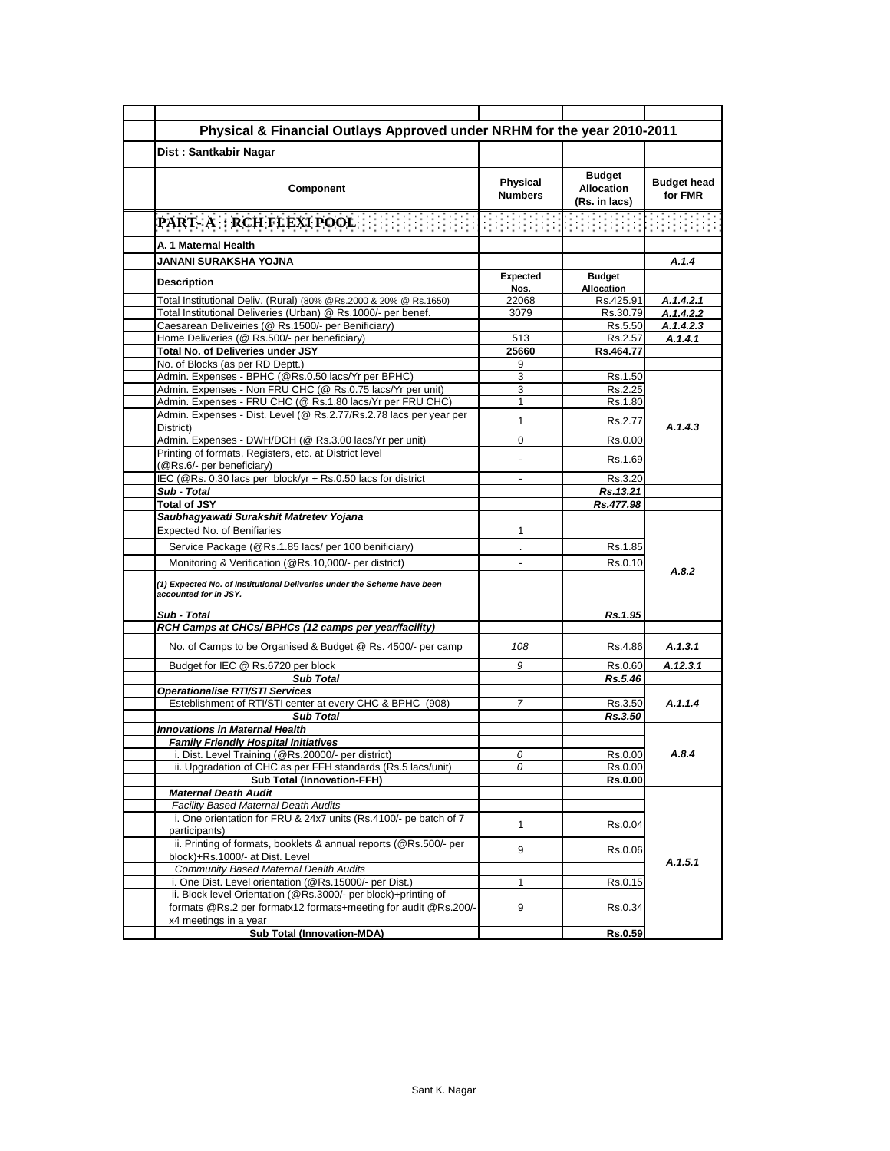| Physical & Financial Outlays Approved under NRHM for the year 2010-2011                             |                            |                                              |                               |
|-----------------------------------------------------------------------------------------------------|----------------------------|----------------------------------------------|-------------------------------|
| Dist: Santkabir Nagar                                                                               |                            |                                              |                               |
| Component                                                                                           | Physical<br><b>Numbers</b> | Budget<br><b>Allocation</b><br>(Rs. in lacs) | <b>Budget head</b><br>for FMR |
| PART- A : RCH FLEXI POOL                                                                            |                            | <u>a sa salawan sa san</u>                   |                               |
| A. 1 Maternal Health                                                                                |                            |                                              |                               |
| <b>JANANI SURAKSHA YOJNA</b>                                                                        |                            |                                              | A.1.4                         |
|                                                                                                     | <b>Expected</b>            | <b>Budget</b>                                |                               |
| <b>Description</b>                                                                                  | Nos.                       | Allocation                                   |                               |
| Total Institutional Deliv. (Rural) (80% @Rs.2000 & 20% @ Rs.1650)                                   | 22068                      | Rs.425.91                                    | A.1.4.2.1                     |
| Total Institutional Deliveries (Urban) @ Rs.1000/- per benef.                                       | 3079                       | Rs.30.79                                     | A.1.4.2.2                     |
| Caesarean Deliveiries (@ Rs.1500/- per Benificiary)<br>Home Deliveries (@ Rs.500/- per beneficiary) | 513                        | Rs.5.50<br>Rs.2.57                           | A.1.4.2.3<br>A.1.4.1          |
| Total No. of Deliveries under JSY                                                                   | 25660                      | Rs.464.77                                    |                               |
| No. of Blocks (as per RD Deptt.)                                                                    | 9                          |                                              |                               |
| Admin. Expenses - BPHC (@Rs.0.50 lacs/Yr per BPHC)                                                  | 3                          | Rs.1.50                                      |                               |
| Admin. Expenses - Non FRU CHC (@ Rs.0.75 lacs/Yr per unit)                                          | 3                          | Rs.2.25                                      |                               |
| Admin. Expenses - FRU CHC (@ Rs.1.80 lacs/Yr per FRU CHC)                                           | 1                          | Rs.1.80                                      |                               |
| Admin. Expenses - Dist. Level (@ Rs.2.77/Rs.2.78 lacs per year per<br>District)                     | 1                          | Rs.2.77                                      | A.1.4.3                       |
| Admin. Expenses - DWH/DCH (@ Rs.3.00 lacs/Yr per unit)                                              | 0                          | Rs.0.00                                      |                               |
| Printing of formats, Registers, etc. at District level                                              |                            |                                              |                               |
| (@Rs.6/- per beneficiary)                                                                           |                            | Rs.1.69                                      |                               |
| IEC (@Rs. 0.30 lacs per block/yr + Rs.0.50 lacs for district                                        |                            | Rs.3.20                                      |                               |
| Sub - Total                                                                                         |                            | Rs.13.21                                     |                               |
| <b>Total of JSY</b>                                                                                 |                            | Rs.477.98                                    |                               |
| Saubhagyawati Surakshit Matretev Yojana<br>Expected No. of Benifiaries                              | 1                          |                                              |                               |
|                                                                                                     |                            |                                              |                               |
| Service Package (@Rs.1.85 lacs/ per 100 benificiary)                                                |                            | Rs.1.85                                      |                               |
| Monitoring & Verification (@Rs.10,000/- per district)                                               |                            | Rs.0.10                                      | A.8.2                         |
| (1) Expected No. of Institutional Deliveries under the Scheme have been<br>accounted for in JSY.    |                            |                                              |                               |
| Sub - Total                                                                                         |                            | Rs.1.95                                      |                               |
| RCH Camps at CHCs/ BPHCs (12 camps per year/facility)                                               |                            |                                              |                               |
| No. of Camps to be Organised & Budget @ Rs. 4500/- per camp                                         | 108                        | Rs.4.86                                      | A.1.3.1                       |
| Budget for IEC @ Rs.6720 per block                                                                  | 9                          | Rs 0.60                                      | A.12.3.1                      |
| <b>Sub Total</b>                                                                                    |                            | Rs.5.46                                      |                               |
| <b>Operationalise RTI/STI Services</b>                                                              |                            |                                              |                               |
| Esteblishment of RTI/STI center at every CHC & BPHC (908)                                           | 7                          | Rs.3.50                                      | A.1.1.4                       |
| <b>Sub Total</b><br><b>Innovations in Maternal Health</b>                                           |                            | Rs.3.50                                      |                               |
| <b>Family Friendly Hospital Initiatives</b>                                                         |                            |                                              |                               |
| i. Dist. Level Training (@Rs.20000/- per district)                                                  | 0                          | Rs.0.00                                      | A.8.4                         |
| ii. Upgradation of CHC as per FFH standards (Rs.5 lacs/unit)                                        | 0                          | Rs.0.00                                      |                               |
| <b>Sub Total (Innovation-FFH)</b>                                                                   |                            | <b>Rs.0.00</b>                               |                               |
| <b>Maternal Death Audit</b>                                                                         |                            |                                              |                               |
| Facility Based Maternal Death Audits                                                                |                            |                                              |                               |
| i. One orientation for FRU & 24x7 units (Rs.4100/- pe batch of 7<br>participants)                   | 1                          | Rs.0.04                                      |                               |
| ii. Printing of formats, booklets & annual reports (@Rs.500/- per                                   | 9                          | Rs.0.06                                      |                               |
| block)+Rs.1000/- at Dist. Level<br>Community Based Maternal Dealth Audits                           |                            |                                              | A.1.5.1                       |
| i. One Dist. Level orientation (@Rs.15000/- per Dist.)                                              | 1                          | Rs.0.15                                      |                               |
| ii. Block level Orientation (@Rs.3000/- per block)+printing of                                      |                            |                                              |                               |
| formats @Rs.2 per formatx12 formats+meeting for audit @Rs.200/-                                     | 9                          | Rs.0.34                                      |                               |
| x4 meetings in a year<br><b>Sub Total (Innovation-MDA)</b>                                          |                            | Rs.0.59                                      |                               |
|                                                                                                     |                            |                                              |                               |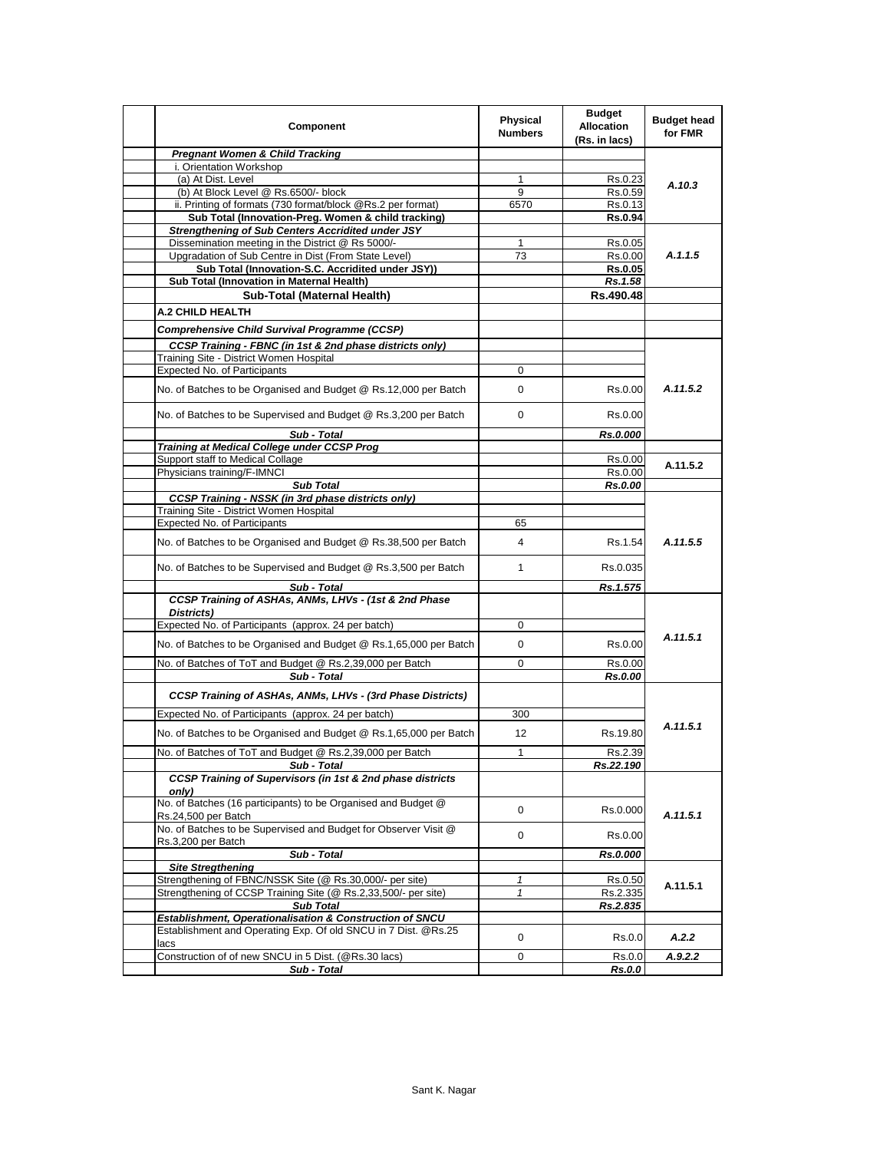| Component                                                                                                                  | <b>Physical</b><br><b>Numbers</b> | <b>Budget</b><br><b>Allocation</b><br>(Rs. in lacs) | <b>Budget head</b><br>for FMR |
|----------------------------------------------------------------------------------------------------------------------------|-----------------------------------|-----------------------------------------------------|-------------------------------|
| <b>Pregnant Women &amp; Child Tracking</b>                                                                                 |                                   |                                                     |                               |
| i. Orientation Workshop                                                                                                    |                                   |                                                     |                               |
| (a) At Dist. Level                                                                                                         | $\mathbf{1}$                      | Rs.0.23                                             | A.10.3                        |
| (b) At Block Level @ Rs.6500/- block                                                                                       | 9                                 | Rs.0.59                                             |                               |
| ii. Printing of formats (730 format/block @Rs.2 per format)                                                                | 6570                              | Rs.0.13                                             |                               |
| Sub Total (Innovation-Preg. Women & child tracking)                                                                        |                                   | Rs.0.94                                             |                               |
| <b>Strengthening of Sub Centers Accridited under JSY</b>                                                                   |                                   |                                                     |                               |
| Dissemination meeting in the District @ Rs 5000/-                                                                          | 1                                 | Rs.0.05                                             |                               |
| Upgradation of Sub Centre in Dist (From State Level)<br>Sub Total (Innovation-S.C. Accridited under JSY))                  | 73                                | Rs.0.00                                             | A.1.1.5                       |
| Sub Total (Innovation in Maternal Health)                                                                                  |                                   | Rs.0.05<br>Rs.1.58                                  |                               |
| Sub-Total (Maternal Health)                                                                                                |                                   | Rs.490.48                                           |                               |
|                                                                                                                            |                                   |                                                     |                               |
| A.2 CHILD HEALTH                                                                                                           |                                   |                                                     |                               |
| <b>Comprehensive Child Survival Programme (CCSP)</b>                                                                       |                                   |                                                     |                               |
| CCSP Training - FBNC (in 1st & 2nd phase districts only)                                                                   |                                   |                                                     |                               |
| Training Site - District Women Hospital                                                                                    |                                   |                                                     |                               |
| <b>Expected No. of Participants</b>                                                                                        | 0                                 |                                                     |                               |
| No. of Batches to be Organised and Budget @ Rs.12,000 per Batch                                                            | 0                                 | Rs.0.00                                             | A.11.5.2                      |
| No. of Batches to be Supervised and Budget @ Rs.3,200 per Batch                                                            | 0                                 | Rs.0.00                                             |                               |
| Sub - Total                                                                                                                |                                   | Rs.0.000                                            |                               |
| <b>Training at Medical College under CCSP Prog</b>                                                                         |                                   |                                                     |                               |
| Support staff to Medical Collage                                                                                           |                                   | Rs.0.00                                             | A.11.5.2                      |
| Physicians training/F-IMNCI                                                                                                |                                   | Rs.0.00                                             |                               |
| <b>Sub Total</b>                                                                                                           |                                   | <b>Rs.0.00</b>                                      | A.11.5.5                      |
| <b>CCSP Training - NSSK (in 3rd phase districts only)</b>                                                                  |                                   |                                                     |                               |
| Training Site - District Women Hospital<br>Expected No. of Participants                                                    | 65                                |                                                     |                               |
|                                                                                                                            |                                   |                                                     |                               |
| No. of Batches to be Organised and Budget @ Rs.38,500 per Batch                                                            | 4                                 | Rs.1.54                                             |                               |
| No. of Batches to be Supervised and Budget @ Rs.3,500 per Batch                                                            | 1                                 | Rs.0.035                                            |                               |
| Sub - Total                                                                                                                |                                   | Rs.1.575                                            |                               |
| CCSP Training of ASHAs, ANMs, LHVs - (1st & 2nd Phase<br>Districts)                                                        |                                   |                                                     |                               |
| Expected No. of Participants (approx. 24 per batch)                                                                        | 0                                 |                                                     |                               |
|                                                                                                                            |                                   |                                                     | A.11.5.1                      |
| No. of Batches to be Organised and Budget @ Rs.1,65,000 per Batch                                                          | 0                                 | Rs.0.00                                             |                               |
| No. of Batches of ToT and Budget @ Rs.2,39,000 per Batch                                                                   | 0                                 | Rs.0.00                                             |                               |
| Sub - Total                                                                                                                |                                   | Rs.0.00                                             |                               |
| <b>CCSP Training of ASHAs, ANMs, LHVs - (3rd Phase Districts)</b>                                                          |                                   |                                                     |                               |
| Expected No. of Participants (approx. 24 per batch)                                                                        | 300                               |                                                     |                               |
| No. of Batches to be Organised and Budget @ Rs.1,65,000 per Batch                                                          | 12                                | Rs.19.80                                            | A.11.5.1                      |
| No. of Batches of ToT and Budget @ Rs.2,39,000 per Batch                                                                   | 1                                 | Rs.2.39                                             |                               |
| Sub - Total                                                                                                                |                                   | Rs.22.190                                           |                               |
| CCSP Training of Supervisors (in 1st & 2nd phase districts<br>only)                                                        |                                   |                                                     |                               |
| No. of Batches (16 participants) to be Organised and Budget @<br>Rs.24,500 per Batch                                       | $\mathbf 0$                       | Rs.0.000                                            | A.11.5.1                      |
| No. of Batches to be Supervised and Budget for Observer Visit @<br>Rs.3,200 per Batch                                      | 0                                 | Rs.0.00                                             |                               |
| Sub - Total                                                                                                                |                                   | Rs.0.000                                            |                               |
| <b>Site Stregthening</b>                                                                                                   |                                   |                                                     |                               |
| Strengthening of FBNC/NSSK Site (@ Rs.30,000/- per site)                                                                   | 1                                 | Rs.0.50                                             | A.11.5.1                      |
| Strengthening of CCSP Training Site (@ Rs.2,33,500/- per site)                                                             | 1                                 | Rs.2.335                                            |                               |
| <b>Sub Total</b>                                                                                                           |                                   | Rs.2.835                                            |                               |
| Establishment, Operationalisation & Construction of SNCU<br>Establishment and Operating Exp. Of old SNCU in 7 Dist. @Rs.25 |                                   |                                                     |                               |
| lacs                                                                                                                       | 0                                 | Rs.0.0                                              | A.2.2                         |
| Construction of of new SNCU in 5 Dist. (@Rs.30 lacs)                                                                       | 0                                 | Rs.0.0                                              | A.9.2.2                       |
| Sub - Total                                                                                                                |                                   | Rs.0.0                                              |                               |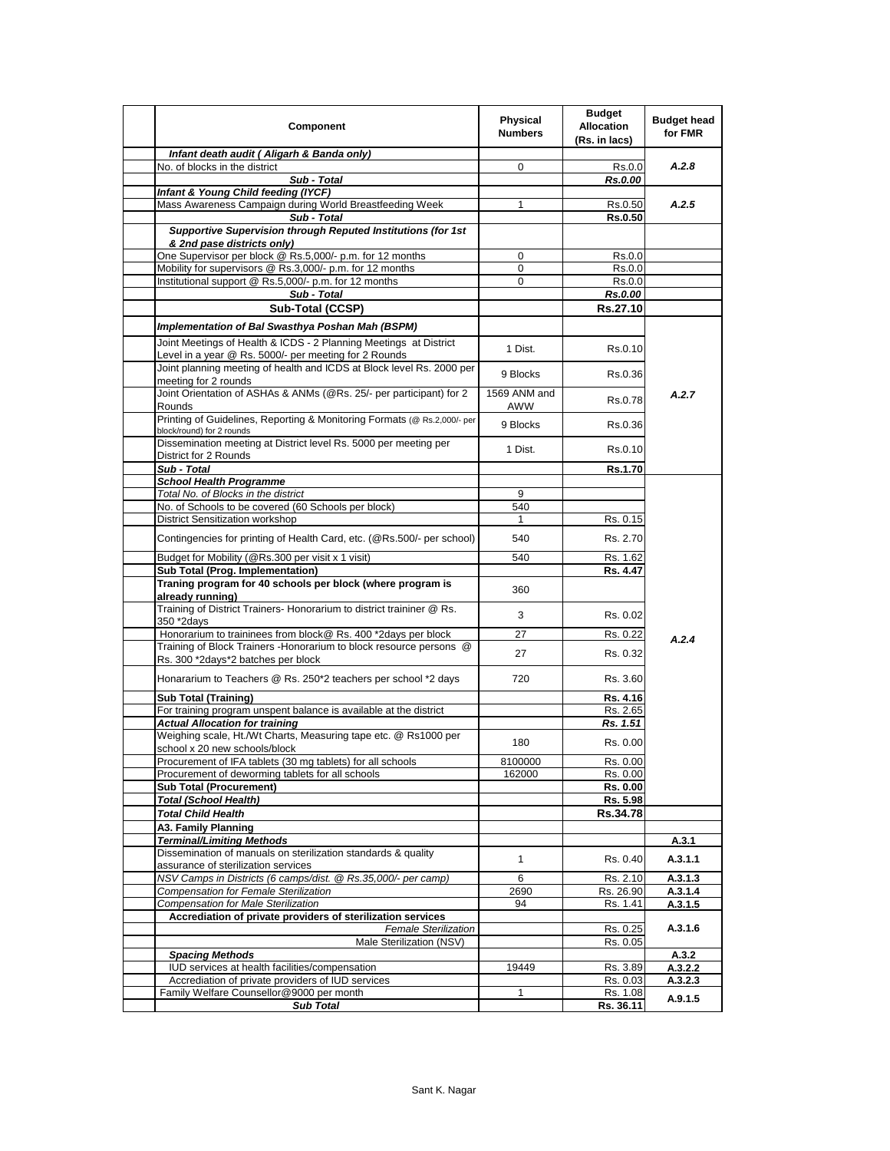| Component                                                                                                                  | <b>Physical</b><br><b>Numbers</b> | <b>Budget</b><br><b>Allocation</b><br>(Rs. in lacs) | <b>Budget head</b><br>for FMR |
|----------------------------------------------------------------------------------------------------------------------------|-----------------------------------|-----------------------------------------------------|-------------------------------|
| Infant death audit ( Aligarh & Banda only)                                                                                 |                                   |                                                     |                               |
| No. of blocks in the district                                                                                              | 0                                 | Rs.0.0                                              | A.2.8                         |
| Sub - Total                                                                                                                |                                   | Rs.0.00                                             |                               |
| Infant & Young Child feeding (IYCF)                                                                                        |                                   |                                                     |                               |
| Mass Awareness Campaign during World Breastfeeding Week                                                                    | 1                                 | Rs.0.50                                             | A.2.5                         |
| Sub - Total                                                                                                                |                                   | Rs.0.50                                             |                               |
| Supportive Supervision through Reputed Institutions (for 1st                                                               |                                   |                                                     |                               |
| & 2nd pase districts only)<br>One Supervisor per block @ Rs.5,000/- p.m. for 12 months                                     | 0                                 | Rs.0.0                                              |                               |
| Mobility for supervisors @ Rs.3,000/- p.m. for 12 months                                                                   | $\mathbf 0$                       | Rs.0.0                                              |                               |
| Institutional support @ Rs.5,000/- p.m. for 12 months                                                                      | 0                                 | Rs.0.0                                              |                               |
| Sub - Total                                                                                                                |                                   | <b>Rs.0.00</b>                                      |                               |
| Sub-Total (CCSP)                                                                                                           |                                   | Rs.27.10                                            |                               |
|                                                                                                                            |                                   |                                                     |                               |
| Implementation of Bal Swasthya Poshan Mah (BSPM)                                                                           |                                   |                                                     |                               |
| Joint Meetings of Health & ICDS - 2 Planning Meetings at District<br>Level in a year @ Rs. 5000/- per meeting for 2 Rounds | 1 Dist.                           | Rs.0.10                                             |                               |
| Joint planning meeting of health and ICDS at Block level Rs. 2000 per<br>meeting for 2 rounds                              | 9 Blocks                          | Rs.0.36                                             |                               |
| Joint Orientation of ASHAs & ANMs (@Rs. 25/- per participant) for 2<br>Rounds                                              | 1569 ANM and<br><b>AWW</b>        | Rs.0.78                                             | A.2.7                         |
| Printing of Guidelines, Reporting & Monitoring Formats (@ Rs.2,000/- per                                                   | 9 Blocks                          | Rs.0.36                                             |                               |
| block/round) for 2 rounds<br>Dissemination meeting at District level Rs. 5000 per meeting per                              | 1 Dist.                           | Rs.0.10                                             |                               |
| District for 2 Rounds<br>Sub - Total                                                                                       |                                   | Rs.1.70                                             |                               |
| <b>School Health Programme</b>                                                                                             |                                   |                                                     |                               |
| Total No. of Blocks in the district                                                                                        | 9                                 |                                                     |                               |
| No. of Schools to be covered (60 Schools per block)                                                                        | 540                               |                                                     |                               |
| <b>District Sensitization workshop</b>                                                                                     | 1                                 | Rs. 0.15                                            |                               |
| Contingencies for printing of Health Card, etc. (@Rs.500/- per school)                                                     | 540                               | Rs. 2.70                                            |                               |
| Budget for Mobility (@Rs.300 per visit x 1 visit)                                                                          | 540                               | Rs. 1.62                                            |                               |
| Sub Total (Prog. Implementation)                                                                                           |                                   | Rs. 4.47                                            |                               |
| Traning program for 40 schools per block (where program is<br>already running)                                             | 360                               |                                                     |                               |
| Training of District Trainers- Honorarium to district traininer @ Rs.<br>350 *2days                                        | 3                                 | Rs. 0.02                                            |                               |
| Honorarium to traininees from block@ Rs. 400 *2days per block                                                              | 27                                | Rs. 0.22                                            |                               |
| Training of Block Trainers - Honorarium to block resource persons @                                                        |                                   |                                                     | A.2.4                         |
| Rs. 300 *2days*2 batches per block                                                                                         | 27                                | Rs. 0.32                                            |                               |
| Honararium to Teachers @ Rs. 250*2 teachers per school *2 days                                                             | 720                               | Rs. 3.60                                            |                               |
| <b>Sub Total (Training)</b>                                                                                                |                                   | Rs. 4.16                                            |                               |
| For training program unspent balance is available at the district                                                          |                                   | Rs. 2.65                                            |                               |
| <b>Actual Allocation for training</b>                                                                                      |                                   | Rs. 1.51                                            |                               |
| Weighing scale, Ht./Wt Charts, Measuring tape etc. @ Rs1000 per<br>school x 20 new schools/block                           | 180                               | Rs. 0.00                                            |                               |
| Procurement of IFA tablets (30 mg tablets) for all schools                                                                 | 8100000                           | Rs. 0.00                                            |                               |
| Procurement of deworming tablets for all schools                                                                           | 162000                            | Rs. 0.00                                            |                               |
| <b>Sub Total (Procurement)</b>                                                                                             |                                   | Rs. 0.00                                            |                               |
| <b>Total (School Health)</b>                                                                                               |                                   | Rs. 5.98                                            |                               |
| <b>Total Child Health</b>                                                                                                  |                                   | Rs.34.78                                            |                               |
| A3. Family Planning                                                                                                        |                                   |                                                     |                               |
| <b>Terminal/Limiting Methods</b>                                                                                           |                                   |                                                     | A.3.1                         |
| Dissemination of manuals on sterilization standards & quality<br>assurance of sterilization services                       | 1                                 | Rs. 0.40                                            | A.3.1.1                       |
| NSV Camps in Districts (6 camps/dist. @ Rs.35,000/- per camp)                                                              | 6                                 | Rs. 2.10                                            | A.3.1.3                       |
| <b>Compensation for Female Sterilization</b>                                                                               | 2690                              | Rs. 26.90                                           | A.3.1.4                       |
| Compensation for Male Sterilization                                                                                        | 94                                | Rs. 1.41                                            | A.3.1.5                       |
| Accrediation of private providers of sterilization services                                                                |                                   |                                                     |                               |
| <b>Female Sterilization</b>                                                                                                |                                   | Rs. 0.25                                            | A.3.1.6                       |
| Male Sterilization (NSV)                                                                                                   |                                   | Rs. 0.05                                            |                               |
| <b>Spacing Methods</b><br>IUD services at health facilities/compensation                                                   | 19449                             |                                                     | A.3.2                         |
| Accrediation of private providers of IUD services                                                                          |                                   | Rs. 3.89<br>Rs. 0.03                                | A.3.2.2<br>A.3.2.3            |
| Family Welfare Counsellor@9000 per month                                                                                   | 1                                 | Rs. 1.08                                            |                               |
| <b>Sub Total</b>                                                                                                           |                                   | Rs. 36.11                                           | A.9.1.5                       |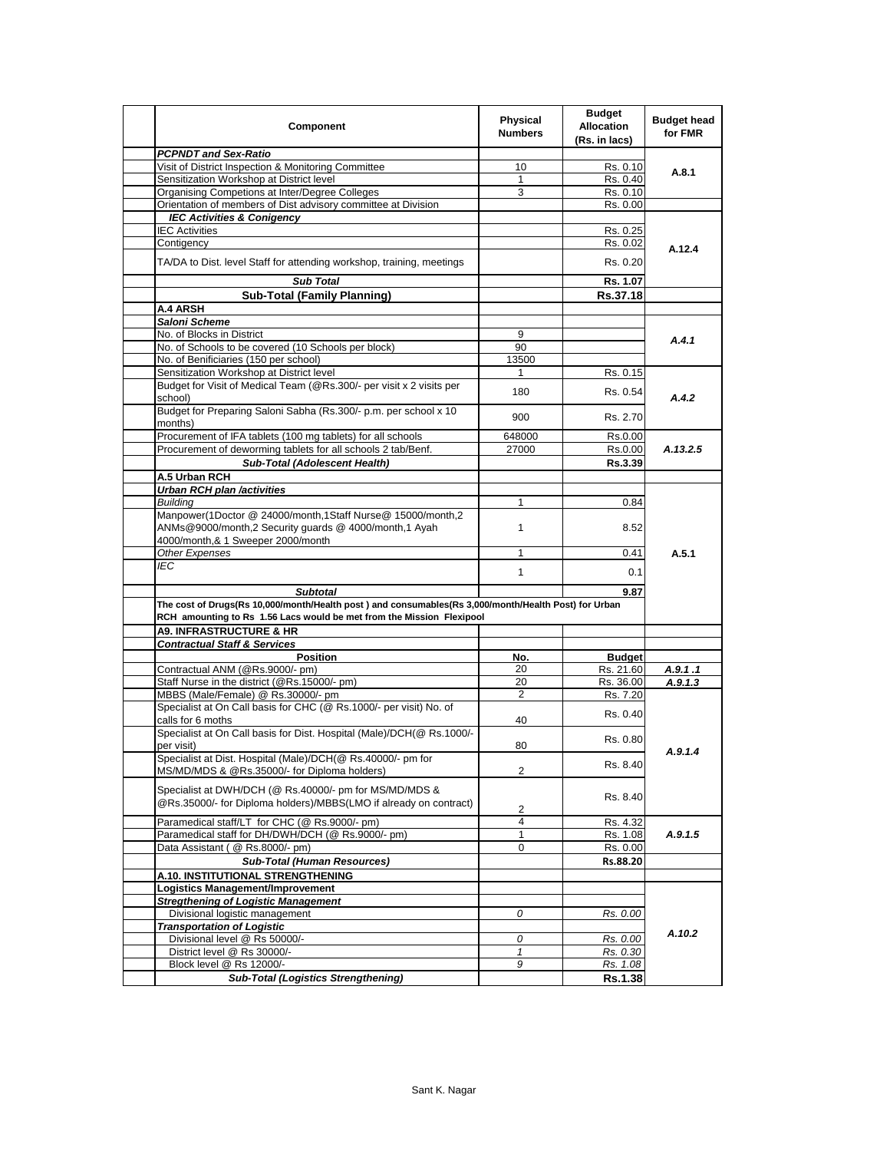| <b>PCPNDT and Sex-Ratio</b><br>Visit of District Inspection & Monitoring Committee<br>10<br>Rs. 0.10<br>A.8.1<br>Sensitization Workshop at District level<br>$\mathbf{1}$<br>Rs. 0.40<br>Organising Competions at Inter/Degree Colleges<br>3<br>Rs. 0.10<br>Orientation of members of Dist advisory committee at Division<br>Rs. 0.00<br><b>IEC Activities &amp; Conigency</b><br><b>IEC Activities</b><br>Rs. 0.25<br>Contigency<br>Rs. 0.02<br>A.12.4<br>TA/DA to Dist. level Staff for attending workshop, training, meetings<br>Rs. 0.20<br><b>Sub Total</b><br>Rs. 1.07<br><b>Sub-Total (Family Planning)</b><br>Rs.37.18<br>A.4 ARSH<br>Saloni Scheme<br>No. of Blocks in District<br>9<br>A.4.1<br>No. of Schools to be covered (10 Schools per block)<br>90<br>No. of Benificiaries (150 per school)<br>13500<br>Sensitization Workshop at District level<br>Rs. 0.15<br>1<br>Budget for Visit of Medical Team (@Rs.300/- per visit x 2 visits per<br>180<br>Rs. 0.54<br>A.4.2<br>school)<br>Budget for Preparing Saloni Sabha (Rs.300/- p.m. per school x 10<br>900<br>Rs. 2.70<br>months)<br>Procurement of IFA tablets (100 mg tablets) for all schools<br>648000<br>Rs.0.00<br>Procurement of deworming tablets for all schools 2 tab/Benf.<br>27000<br>Rs.0.00<br>A.13.2.5<br>Sub-Total (Adolescent Health)<br>Rs.3.39<br>A.5 Urban RCH<br><b>Urban RCH plan /activities</b><br><b>Buildina</b><br>1<br>0.84<br>Manpower(1Doctor @ 24000/month,1Staff Nurse@ 15000/month,2<br>ANMs@9000/month,2 Security guards @ 4000/month,1 Ayah<br>$\mathbf{1}$<br>8.52<br>4000/month,& 1 Sweeper 2000/month<br>Other Expenses<br>A.5.1<br>$\mathbf{1}$<br>0.41<br>IEC<br>$\mathbf{1}$<br>0.1<br><b>Subtotal</b><br>9.87<br>The cost of Drugs(Rs 10,000/month/Health post) and consumables(Rs 3,000/month/Health Post) for Urban<br>RCH amounting to Rs 1.56 Lacs would be met from the Mission Flexipool<br><b>A9. INFRASTRUCTURE &amp; HR</b><br><b>Contractual Staff &amp; Services</b><br><b>Position</b><br><b>Budget</b><br>No.<br>Contractual ANM (@Rs.9000/- pm)<br>20<br>Rs. 21.60<br>A.9.1.1<br>20<br>Staff Nurse in the district (@Rs.15000/- pm)<br>Rs. 36.00<br>A.9.1.3<br>$\overline{2}$<br>MBBS (Male/Female) @ Rs.30000/- pm<br>Rs. 7.20<br>Specialist at On Call basis for CHC (@ Rs.1000/- per visit) No. of<br>Rs. 0.40<br>calls for 6 moths<br>40<br>Specialist at On Call basis for Dist. Hospital (Male)/DCH(@ Rs.1000/-<br>Rs. 0.80<br>per visit)<br>80<br>A.9.1.4<br>Specialist at Dist. Hospital (Male)/DCH(@ Rs.40000/- pm for<br>Rs. 8.40<br>$\overline{2}$<br>MS/MD/MDS & @Rs.35000/- for Diploma holders)<br>Specialist at DWH/DCH (@ Rs.40000/- pm for MS/MD/MDS &<br>Rs 8.40<br>@Rs.35000/- for Diploma holders)/MBBS(LMO if already on contract)<br>2<br>Paramedical staff/LT for CHC (@ Rs.9000/- pm)<br>4<br>Rs. 4.32<br>Paramedical staff for DH/DWH/DCH (@ Rs.9000/- pm)<br>1<br>A.9.1.5<br>Rs. 1.08<br>Data Assistant ( @ Rs.8000/- pm)<br>0<br>Rs. 0.00<br><b>Sub-Total (Human Resources)</b><br>Rs.88.20<br>A.10. INSTITUTIONAL STRENGTHENING<br>Logistics Management/Improvement<br><b>Stregthening of Logistic Management</b><br>Divisional logistic management<br>0<br>Rs. 0.00<br><b>Transportation of Logistic</b><br>A.10.2<br>Divisional level @ Rs 50000/-<br>Rs. 0.00<br>0<br>District level @ Rs 30000/-<br>$\mathbf{1}$<br>Rs. 0.30<br>Block level @ Rs 12000/-<br>9<br>Rs. 1.08<br><b>Sub-Total (Logistics Strengthening)</b> | <b>Component</b> | <b>Physical</b><br><b>Numbers</b> | <b>Budget</b><br><b>Allocation</b><br>(Rs. in lacs) | <b>Budget head</b><br>for FMR |
|-----------------------------------------------------------------------------------------------------------------------------------------------------------------------------------------------------------------------------------------------------------------------------------------------------------------------------------------------------------------------------------------------------------------------------------------------------------------------------------------------------------------------------------------------------------------------------------------------------------------------------------------------------------------------------------------------------------------------------------------------------------------------------------------------------------------------------------------------------------------------------------------------------------------------------------------------------------------------------------------------------------------------------------------------------------------------------------------------------------------------------------------------------------------------------------------------------------------------------------------------------------------------------------------------------------------------------------------------------------------------------------------------------------------------------------------------------------------------------------------------------------------------------------------------------------------------------------------------------------------------------------------------------------------------------------------------------------------------------------------------------------------------------------------------------------------------------------------------------------------------------------------------------------------------------------------------------------------------------------------------------------------------------------------------------------------------------------------------------------------------------------------------------------------------------------------------------------------------------------------------------------------------------------------------------------------------------------------------------------------------------------------------------------------------------------------------------------------------------------------------------------------------------------------------------------------------------------------------------------------------------------------------------------------------------------------------------------------------------------------------------------------------------------------------------------------------------------------------------------------------------------------------------------------------------------------------------------------------------------------------------------------------------------------------------------------------------------------------------------------------------------------------------------------------------------------------------------------------------------------------------------------------------------------------------------------------------------------------------------------------------------------------------------------------------------------------------------------------------------|------------------|-----------------------------------|-----------------------------------------------------|-------------------------------|
|                                                                                                                                                                                                                                                                                                                                                                                                                                                                                                                                                                                                                                                                                                                                                                                                                                                                                                                                                                                                                                                                                                                                                                                                                                                                                                                                                                                                                                                                                                                                                                                                                                                                                                                                                                                                                                                                                                                                                                                                                                                                                                                                                                                                                                                                                                                                                                                                                                                                                                                                                                                                                                                                                                                                                                                                                                                                                                                                                                                                                                                                                                                                                                                                                                                                                                                                                                                                                                                                                   |                  |                                   |                                                     |                               |
|                                                                                                                                                                                                                                                                                                                                                                                                                                                                                                                                                                                                                                                                                                                                                                                                                                                                                                                                                                                                                                                                                                                                                                                                                                                                                                                                                                                                                                                                                                                                                                                                                                                                                                                                                                                                                                                                                                                                                                                                                                                                                                                                                                                                                                                                                                                                                                                                                                                                                                                                                                                                                                                                                                                                                                                                                                                                                                                                                                                                                                                                                                                                                                                                                                                                                                                                                                                                                                                                                   |                  |                                   |                                                     |                               |
|                                                                                                                                                                                                                                                                                                                                                                                                                                                                                                                                                                                                                                                                                                                                                                                                                                                                                                                                                                                                                                                                                                                                                                                                                                                                                                                                                                                                                                                                                                                                                                                                                                                                                                                                                                                                                                                                                                                                                                                                                                                                                                                                                                                                                                                                                                                                                                                                                                                                                                                                                                                                                                                                                                                                                                                                                                                                                                                                                                                                                                                                                                                                                                                                                                                                                                                                                                                                                                                                                   |                  |                                   |                                                     |                               |
|                                                                                                                                                                                                                                                                                                                                                                                                                                                                                                                                                                                                                                                                                                                                                                                                                                                                                                                                                                                                                                                                                                                                                                                                                                                                                                                                                                                                                                                                                                                                                                                                                                                                                                                                                                                                                                                                                                                                                                                                                                                                                                                                                                                                                                                                                                                                                                                                                                                                                                                                                                                                                                                                                                                                                                                                                                                                                                                                                                                                                                                                                                                                                                                                                                                                                                                                                                                                                                                                                   |                  |                                   |                                                     |                               |
|                                                                                                                                                                                                                                                                                                                                                                                                                                                                                                                                                                                                                                                                                                                                                                                                                                                                                                                                                                                                                                                                                                                                                                                                                                                                                                                                                                                                                                                                                                                                                                                                                                                                                                                                                                                                                                                                                                                                                                                                                                                                                                                                                                                                                                                                                                                                                                                                                                                                                                                                                                                                                                                                                                                                                                                                                                                                                                                                                                                                                                                                                                                                                                                                                                                                                                                                                                                                                                                                                   |                  |                                   |                                                     |                               |
|                                                                                                                                                                                                                                                                                                                                                                                                                                                                                                                                                                                                                                                                                                                                                                                                                                                                                                                                                                                                                                                                                                                                                                                                                                                                                                                                                                                                                                                                                                                                                                                                                                                                                                                                                                                                                                                                                                                                                                                                                                                                                                                                                                                                                                                                                                                                                                                                                                                                                                                                                                                                                                                                                                                                                                                                                                                                                                                                                                                                                                                                                                                                                                                                                                                                                                                                                                                                                                                                                   |                  |                                   |                                                     |                               |
|                                                                                                                                                                                                                                                                                                                                                                                                                                                                                                                                                                                                                                                                                                                                                                                                                                                                                                                                                                                                                                                                                                                                                                                                                                                                                                                                                                                                                                                                                                                                                                                                                                                                                                                                                                                                                                                                                                                                                                                                                                                                                                                                                                                                                                                                                                                                                                                                                                                                                                                                                                                                                                                                                                                                                                                                                                                                                                                                                                                                                                                                                                                                                                                                                                                                                                                                                                                                                                                                                   |                  |                                   |                                                     |                               |
|                                                                                                                                                                                                                                                                                                                                                                                                                                                                                                                                                                                                                                                                                                                                                                                                                                                                                                                                                                                                                                                                                                                                                                                                                                                                                                                                                                                                                                                                                                                                                                                                                                                                                                                                                                                                                                                                                                                                                                                                                                                                                                                                                                                                                                                                                                                                                                                                                                                                                                                                                                                                                                                                                                                                                                                                                                                                                                                                                                                                                                                                                                                                                                                                                                                                                                                                                                                                                                                                                   |                  |                                   |                                                     |                               |
|                                                                                                                                                                                                                                                                                                                                                                                                                                                                                                                                                                                                                                                                                                                                                                                                                                                                                                                                                                                                                                                                                                                                                                                                                                                                                                                                                                                                                                                                                                                                                                                                                                                                                                                                                                                                                                                                                                                                                                                                                                                                                                                                                                                                                                                                                                                                                                                                                                                                                                                                                                                                                                                                                                                                                                                                                                                                                                                                                                                                                                                                                                                                                                                                                                                                                                                                                                                                                                                                                   |                  |                                   |                                                     |                               |
|                                                                                                                                                                                                                                                                                                                                                                                                                                                                                                                                                                                                                                                                                                                                                                                                                                                                                                                                                                                                                                                                                                                                                                                                                                                                                                                                                                                                                                                                                                                                                                                                                                                                                                                                                                                                                                                                                                                                                                                                                                                                                                                                                                                                                                                                                                                                                                                                                                                                                                                                                                                                                                                                                                                                                                                                                                                                                                                                                                                                                                                                                                                                                                                                                                                                                                                                                                                                                                                                                   |                  |                                   |                                                     |                               |
|                                                                                                                                                                                                                                                                                                                                                                                                                                                                                                                                                                                                                                                                                                                                                                                                                                                                                                                                                                                                                                                                                                                                                                                                                                                                                                                                                                                                                                                                                                                                                                                                                                                                                                                                                                                                                                                                                                                                                                                                                                                                                                                                                                                                                                                                                                                                                                                                                                                                                                                                                                                                                                                                                                                                                                                                                                                                                                                                                                                                                                                                                                                                                                                                                                                                                                                                                                                                                                                                                   |                  |                                   |                                                     |                               |
|                                                                                                                                                                                                                                                                                                                                                                                                                                                                                                                                                                                                                                                                                                                                                                                                                                                                                                                                                                                                                                                                                                                                                                                                                                                                                                                                                                                                                                                                                                                                                                                                                                                                                                                                                                                                                                                                                                                                                                                                                                                                                                                                                                                                                                                                                                                                                                                                                                                                                                                                                                                                                                                                                                                                                                                                                                                                                                                                                                                                                                                                                                                                                                                                                                                                                                                                                                                                                                                                                   |                  |                                   |                                                     |                               |
|                                                                                                                                                                                                                                                                                                                                                                                                                                                                                                                                                                                                                                                                                                                                                                                                                                                                                                                                                                                                                                                                                                                                                                                                                                                                                                                                                                                                                                                                                                                                                                                                                                                                                                                                                                                                                                                                                                                                                                                                                                                                                                                                                                                                                                                                                                                                                                                                                                                                                                                                                                                                                                                                                                                                                                                                                                                                                                                                                                                                                                                                                                                                                                                                                                                                                                                                                                                                                                                                                   |                  |                                   |                                                     |                               |
|                                                                                                                                                                                                                                                                                                                                                                                                                                                                                                                                                                                                                                                                                                                                                                                                                                                                                                                                                                                                                                                                                                                                                                                                                                                                                                                                                                                                                                                                                                                                                                                                                                                                                                                                                                                                                                                                                                                                                                                                                                                                                                                                                                                                                                                                                                                                                                                                                                                                                                                                                                                                                                                                                                                                                                                                                                                                                                                                                                                                                                                                                                                                                                                                                                                                                                                                                                                                                                                                                   |                  |                                   |                                                     |                               |
|                                                                                                                                                                                                                                                                                                                                                                                                                                                                                                                                                                                                                                                                                                                                                                                                                                                                                                                                                                                                                                                                                                                                                                                                                                                                                                                                                                                                                                                                                                                                                                                                                                                                                                                                                                                                                                                                                                                                                                                                                                                                                                                                                                                                                                                                                                                                                                                                                                                                                                                                                                                                                                                                                                                                                                                                                                                                                                                                                                                                                                                                                                                                                                                                                                                                                                                                                                                                                                                                                   |                  |                                   |                                                     |                               |
|                                                                                                                                                                                                                                                                                                                                                                                                                                                                                                                                                                                                                                                                                                                                                                                                                                                                                                                                                                                                                                                                                                                                                                                                                                                                                                                                                                                                                                                                                                                                                                                                                                                                                                                                                                                                                                                                                                                                                                                                                                                                                                                                                                                                                                                                                                                                                                                                                                                                                                                                                                                                                                                                                                                                                                                                                                                                                                                                                                                                                                                                                                                                                                                                                                                                                                                                                                                                                                                                                   |                  |                                   |                                                     |                               |
|                                                                                                                                                                                                                                                                                                                                                                                                                                                                                                                                                                                                                                                                                                                                                                                                                                                                                                                                                                                                                                                                                                                                                                                                                                                                                                                                                                                                                                                                                                                                                                                                                                                                                                                                                                                                                                                                                                                                                                                                                                                                                                                                                                                                                                                                                                                                                                                                                                                                                                                                                                                                                                                                                                                                                                                                                                                                                                                                                                                                                                                                                                                                                                                                                                                                                                                                                                                                                                                                                   |                  |                                   |                                                     |                               |
|                                                                                                                                                                                                                                                                                                                                                                                                                                                                                                                                                                                                                                                                                                                                                                                                                                                                                                                                                                                                                                                                                                                                                                                                                                                                                                                                                                                                                                                                                                                                                                                                                                                                                                                                                                                                                                                                                                                                                                                                                                                                                                                                                                                                                                                                                                                                                                                                                                                                                                                                                                                                                                                                                                                                                                                                                                                                                                                                                                                                                                                                                                                                                                                                                                                                                                                                                                                                                                                                                   |                  |                                   |                                                     |                               |
|                                                                                                                                                                                                                                                                                                                                                                                                                                                                                                                                                                                                                                                                                                                                                                                                                                                                                                                                                                                                                                                                                                                                                                                                                                                                                                                                                                                                                                                                                                                                                                                                                                                                                                                                                                                                                                                                                                                                                                                                                                                                                                                                                                                                                                                                                                                                                                                                                                                                                                                                                                                                                                                                                                                                                                                                                                                                                                                                                                                                                                                                                                                                                                                                                                                                                                                                                                                                                                                                                   |                  |                                   |                                                     |                               |
|                                                                                                                                                                                                                                                                                                                                                                                                                                                                                                                                                                                                                                                                                                                                                                                                                                                                                                                                                                                                                                                                                                                                                                                                                                                                                                                                                                                                                                                                                                                                                                                                                                                                                                                                                                                                                                                                                                                                                                                                                                                                                                                                                                                                                                                                                                                                                                                                                                                                                                                                                                                                                                                                                                                                                                                                                                                                                                                                                                                                                                                                                                                                                                                                                                                                                                                                                                                                                                                                                   |                  |                                   |                                                     |                               |
|                                                                                                                                                                                                                                                                                                                                                                                                                                                                                                                                                                                                                                                                                                                                                                                                                                                                                                                                                                                                                                                                                                                                                                                                                                                                                                                                                                                                                                                                                                                                                                                                                                                                                                                                                                                                                                                                                                                                                                                                                                                                                                                                                                                                                                                                                                                                                                                                                                                                                                                                                                                                                                                                                                                                                                                                                                                                                                                                                                                                                                                                                                                                                                                                                                                                                                                                                                                                                                                                                   |                  |                                   |                                                     |                               |
|                                                                                                                                                                                                                                                                                                                                                                                                                                                                                                                                                                                                                                                                                                                                                                                                                                                                                                                                                                                                                                                                                                                                                                                                                                                                                                                                                                                                                                                                                                                                                                                                                                                                                                                                                                                                                                                                                                                                                                                                                                                                                                                                                                                                                                                                                                                                                                                                                                                                                                                                                                                                                                                                                                                                                                                                                                                                                                                                                                                                                                                                                                                                                                                                                                                                                                                                                                                                                                                                                   |                  |                                   |                                                     |                               |
|                                                                                                                                                                                                                                                                                                                                                                                                                                                                                                                                                                                                                                                                                                                                                                                                                                                                                                                                                                                                                                                                                                                                                                                                                                                                                                                                                                                                                                                                                                                                                                                                                                                                                                                                                                                                                                                                                                                                                                                                                                                                                                                                                                                                                                                                                                                                                                                                                                                                                                                                                                                                                                                                                                                                                                                                                                                                                                                                                                                                                                                                                                                                                                                                                                                                                                                                                                                                                                                                                   |                  |                                   |                                                     |                               |
|                                                                                                                                                                                                                                                                                                                                                                                                                                                                                                                                                                                                                                                                                                                                                                                                                                                                                                                                                                                                                                                                                                                                                                                                                                                                                                                                                                                                                                                                                                                                                                                                                                                                                                                                                                                                                                                                                                                                                                                                                                                                                                                                                                                                                                                                                                                                                                                                                                                                                                                                                                                                                                                                                                                                                                                                                                                                                                                                                                                                                                                                                                                                                                                                                                                                                                                                                                                                                                                                                   |                  |                                   |                                                     |                               |
|                                                                                                                                                                                                                                                                                                                                                                                                                                                                                                                                                                                                                                                                                                                                                                                                                                                                                                                                                                                                                                                                                                                                                                                                                                                                                                                                                                                                                                                                                                                                                                                                                                                                                                                                                                                                                                                                                                                                                                                                                                                                                                                                                                                                                                                                                                                                                                                                                                                                                                                                                                                                                                                                                                                                                                                                                                                                                                                                                                                                                                                                                                                                                                                                                                                                                                                                                                                                                                                                                   |                  |                                   |                                                     |                               |
|                                                                                                                                                                                                                                                                                                                                                                                                                                                                                                                                                                                                                                                                                                                                                                                                                                                                                                                                                                                                                                                                                                                                                                                                                                                                                                                                                                                                                                                                                                                                                                                                                                                                                                                                                                                                                                                                                                                                                                                                                                                                                                                                                                                                                                                                                                                                                                                                                                                                                                                                                                                                                                                                                                                                                                                                                                                                                                                                                                                                                                                                                                                                                                                                                                                                                                                                                                                                                                                                                   |                  |                                   |                                                     |                               |
|                                                                                                                                                                                                                                                                                                                                                                                                                                                                                                                                                                                                                                                                                                                                                                                                                                                                                                                                                                                                                                                                                                                                                                                                                                                                                                                                                                                                                                                                                                                                                                                                                                                                                                                                                                                                                                                                                                                                                                                                                                                                                                                                                                                                                                                                                                                                                                                                                                                                                                                                                                                                                                                                                                                                                                                                                                                                                                                                                                                                                                                                                                                                                                                                                                                                                                                                                                                                                                                                                   |                  |                                   |                                                     |                               |
|                                                                                                                                                                                                                                                                                                                                                                                                                                                                                                                                                                                                                                                                                                                                                                                                                                                                                                                                                                                                                                                                                                                                                                                                                                                                                                                                                                                                                                                                                                                                                                                                                                                                                                                                                                                                                                                                                                                                                                                                                                                                                                                                                                                                                                                                                                                                                                                                                                                                                                                                                                                                                                                                                                                                                                                                                                                                                                                                                                                                                                                                                                                                                                                                                                                                                                                                                                                                                                                                                   |                  |                                   |                                                     |                               |
|                                                                                                                                                                                                                                                                                                                                                                                                                                                                                                                                                                                                                                                                                                                                                                                                                                                                                                                                                                                                                                                                                                                                                                                                                                                                                                                                                                                                                                                                                                                                                                                                                                                                                                                                                                                                                                                                                                                                                                                                                                                                                                                                                                                                                                                                                                                                                                                                                                                                                                                                                                                                                                                                                                                                                                                                                                                                                                                                                                                                                                                                                                                                                                                                                                                                                                                                                                                                                                                                                   |                  |                                   |                                                     |                               |
|                                                                                                                                                                                                                                                                                                                                                                                                                                                                                                                                                                                                                                                                                                                                                                                                                                                                                                                                                                                                                                                                                                                                                                                                                                                                                                                                                                                                                                                                                                                                                                                                                                                                                                                                                                                                                                                                                                                                                                                                                                                                                                                                                                                                                                                                                                                                                                                                                                                                                                                                                                                                                                                                                                                                                                                                                                                                                                                                                                                                                                                                                                                                                                                                                                                                                                                                                                                                                                                                                   |                  |                                   |                                                     |                               |
|                                                                                                                                                                                                                                                                                                                                                                                                                                                                                                                                                                                                                                                                                                                                                                                                                                                                                                                                                                                                                                                                                                                                                                                                                                                                                                                                                                                                                                                                                                                                                                                                                                                                                                                                                                                                                                                                                                                                                                                                                                                                                                                                                                                                                                                                                                                                                                                                                                                                                                                                                                                                                                                                                                                                                                                                                                                                                                                                                                                                                                                                                                                                                                                                                                                                                                                                                                                                                                                                                   |                  |                                   |                                                     |                               |
|                                                                                                                                                                                                                                                                                                                                                                                                                                                                                                                                                                                                                                                                                                                                                                                                                                                                                                                                                                                                                                                                                                                                                                                                                                                                                                                                                                                                                                                                                                                                                                                                                                                                                                                                                                                                                                                                                                                                                                                                                                                                                                                                                                                                                                                                                                                                                                                                                                                                                                                                                                                                                                                                                                                                                                                                                                                                                                                                                                                                                                                                                                                                                                                                                                                                                                                                                                                                                                                                                   |                  |                                   |                                                     |                               |
|                                                                                                                                                                                                                                                                                                                                                                                                                                                                                                                                                                                                                                                                                                                                                                                                                                                                                                                                                                                                                                                                                                                                                                                                                                                                                                                                                                                                                                                                                                                                                                                                                                                                                                                                                                                                                                                                                                                                                                                                                                                                                                                                                                                                                                                                                                                                                                                                                                                                                                                                                                                                                                                                                                                                                                                                                                                                                                                                                                                                                                                                                                                                                                                                                                                                                                                                                                                                                                                                                   |                  |                                   |                                                     |                               |
|                                                                                                                                                                                                                                                                                                                                                                                                                                                                                                                                                                                                                                                                                                                                                                                                                                                                                                                                                                                                                                                                                                                                                                                                                                                                                                                                                                                                                                                                                                                                                                                                                                                                                                                                                                                                                                                                                                                                                                                                                                                                                                                                                                                                                                                                                                                                                                                                                                                                                                                                                                                                                                                                                                                                                                                                                                                                                                                                                                                                                                                                                                                                                                                                                                                                                                                                                                                                                                                                                   |                  |                                   |                                                     |                               |
|                                                                                                                                                                                                                                                                                                                                                                                                                                                                                                                                                                                                                                                                                                                                                                                                                                                                                                                                                                                                                                                                                                                                                                                                                                                                                                                                                                                                                                                                                                                                                                                                                                                                                                                                                                                                                                                                                                                                                                                                                                                                                                                                                                                                                                                                                                                                                                                                                                                                                                                                                                                                                                                                                                                                                                                                                                                                                                                                                                                                                                                                                                                                                                                                                                                                                                                                                                                                                                                                                   |                  |                                   |                                                     |                               |
|                                                                                                                                                                                                                                                                                                                                                                                                                                                                                                                                                                                                                                                                                                                                                                                                                                                                                                                                                                                                                                                                                                                                                                                                                                                                                                                                                                                                                                                                                                                                                                                                                                                                                                                                                                                                                                                                                                                                                                                                                                                                                                                                                                                                                                                                                                                                                                                                                                                                                                                                                                                                                                                                                                                                                                                                                                                                                                                                                                                                                                                                                                                                                                                                                                                                                                                                                                                                                                                                                   |                  |                                   |                                                     |                               |
|                                                                                                                                                                                                                                                                                                                                                                                                                                                                                                                                                                                                                                                                                                                                                                                                                                                                                                                                                                                                                                                                                                                                                                                                                                                                                                                                                                                                                                                                                                                                                                                                                                                                                                                                                                                                                                                                                                                                                                                                                                                                                                                                                                                                                                                                                                                                                                                                                                                                                                                                                                                                                                                                                                                                                                                                                                                                                                                                                                                                                                                                                                                                                                                                                                                                                                                                                                                                                                                                                   |                  |                                   |                                                     |                               |
|                                                                                                                                                                                                                                                                                                                                                                                                                                                                                                                                                                                                                                                                                                                                                                                                                                                                                                                                                                                                                                                                                                                                                                                                                                                                                                                                                                                                                                                                                                                                                                                                                                                                                                                                                                                                                                                                                                                                                                                                                                                                                                                                                                                                                                                                                                                                                                                                                                                                                                                                                                                                                                                                                                                                                                                                                                                                                                                                                                                                                                                                                                                                                                                                                                                                                                                                                                                                                                                                                   |                  |                                   |                                                     |                               |
|                                                                                                                                                                                                                                                                                                                                                                                                                                                                                                                                                                                                                                                                                                                                                                                                                                                                                                                                                                                                                                                                                                                                                                                                                                                                                                                                                                                                                                                                                                                                                                                                                                                                                                                                                                                                                                                                                                                                                                                                                                                                                                                                                                                                                                                                                                                                                                                                                                                                                                                                                                                                                                                                                                                                                                                                                                                                                                                                                                                                                                                                                                                                                                                                                                                                                                                                                                                                                                                                                   |                  |                                   |                                                     |                               |
|                                                                                                                                                                                                                                                                                                                                                                                                                                                                                                                                                                                                                                                                                                                                                                                                                                                                                                                                                                                                                                                                                                                                                                                                                                                                                                                                                                                                                                                                                                                                                                                                                                                                                                                                                                                                                                                                                                                                                                                                                                                                                                                                                                                                                                                                                                                                                                                                                                                                                                                                                                                                                                                                                                                                                                                                                                                                                                                                                                                                                                                                                                                                                                                                                                                                                                                                                                                                                                                                                   |                  |                                   |                                                     |                               |
|                                                                                                                                                                                                                                                                                                                                                                                                                                                                                                                                                                                                                                                                                                                                                                                                                                                                                                                                                                                                                                                                                                                                                                                                                                                                                                                                                                                                                                                                                                                                                                                                                                                                                                                                                                                                                                                                                                                                                                                                                                                                                                                                                                                                                                                                                                                                                                                                                                                                                                                                                                                                                                                                                                                                                                                                                                                                                                                                                                                                                                                                                                                                                                                                                                                                                                                                                                                                                                                                                   |                  |                                   |                                                     |                               |
|                                                                                                                                                                                                                                                                                                                                                                                                                                                                                                                                                                                                                                                                                                                                                                                                                                                                                                                                                                                                                                                                                                                                                                                                                                                                                                                                                                                                                                                                                                                                                                                                                                                                                                                                                                                                                                                                                                                                                                                                                                                                                                                                                                                                                                                                                                                                                                                                                                                                                                                                                                                                                                                                                                                                                                                                                                                                                                                                                                                                                                                                                                                                                                                                                                                                                                                                                                                                                                                                                   |                  |                                   |                                                     |                               |
|                                                                                                                                                                                                                                                                                                                                                                                                                                                                                                                                                                                                                                                                                                                                                                                                                                                                                                                                                                                                                                                                                                                                                                                                                                                                                                                                                                                                                                                                                                                                                                                                                                                                                                                                                                                                                                                                                                                                                                                                                                                                                                                                                                                                                                                                                                                                                                                                                                                                                                                                                                                                                                                                                                                                                                                                                                                                                                                                                                                                                                                                                                                                                                                                                                                                                                                                                                                                                                                                                   |                  |                                   |                                                     |                               |
|                                                                                                                                                                                                                                                                                                                                                                                                                                                                                                                                                                                                                                                                                                                                                                                                                                                                                                                                                                                                                                                                                                                                                                                                                                                                                                                                                                                                                                                                                                                                                                                                                                                                                                                                                                                                                                                                                                                                                                                                                                                                                                                                                                                                                                                                                                                                                                                                                                                                                                                                                                                                                                                                                                                                                                                                                                                                                                                                                                                                                                                                                                                                                                                                                                                                                                                                                                                                                                                                                   |                  |                                   |                                                     |                               |
|                                                                                                                                                                                                                                                                                                                                                                                                                                                                                                                                                                                                                                                                                                                                                                                                                                                                                                                                                                                                                                                                                                                                                                                                                                                                                                                                                                                                                                                                                                                                                                                                                                                                                                                                                                                                                                                                                                                                                                                                                                                                                                                                                                                                                                                                                                                                                                                                                                                                                                                                                                                                                                                                                                                                                                                                                                                                                                                                                                                                                                                                                                                                                                                                                                                                                                                                                                                                                                                                                   |                  |                                   |                                                     |                               |
|                                                                                                                                                                                                                                                                                                                                                                                                                                                                                                                                                                                                                                                                                                                                                                                                                                                                                                                                                                                                                                                                                                                                                                                                                                                                                                                                                                                                                                                                                                                                                                                                                                                                                                                                                                                                                                                                                                                                                                                                                                                                                                                                                                                                                                                                                                                                                                                                                                                                                                                                                                                                                                                                                                                                                                                                                                                                                                                                                                                                                                                                                                                                                                                                                                                                                                                                                                                                                                                                                   |                  |                                   |                                                     |                               |
|                                                                                                                                                                                                                                                                                                                                                                                                                                                                                                                                                                                                                                                                                                                                                                                                                                                                                                                                                                                                                                                                                                                                                                                                                                                                                                                                                                                                                                                                                                                                                                                                                                                                                                                                                                                                                                                                                                                                                                                                                                                                                                                                                                                                                                                                                                                                                                                                                                                                                                                                                                                                                                                                                                                                                                                                                                                                                                                                                                                                                                                                                                                                                                                                                                                                                                                                                                                                                                                                                   |                  |                                   |                                                     |                               |
|                                                                                                                                                                                                                                                                                                                                                                                                                                                                                                                                                                                                                                                                                                                                                                                                                                                                                                                                                                                                                                                                                                                                                                                                                                                                                                                                                                                                                                                                                                                                                                                                                                                                                                                                                                                                                                                                                                                                                                                                                                                                                                                                                                                                                                                                                                                                                                                                                                                                                                                                                                                                                                                                                                                                                                                                                                                                                                                                                                                                                                                                                                                                                                                                                                                                                                                                                                                                                                                                                   |                  |                                   |                                                     |                               |
|                                                                                                                                                                                                                                                                                                                                                                                                                                                                                                                                                                                                                                                                                                                                                                                                                                                                                                                                                                                                                                                                                                                                                                                                                                                                                                                                                                                                                                                                                                                                                                                                                                                                                                                                                                                                                                                                                                                                                                                                                                                                                                                                                                                                                                                                                                                                                                                                                                                                                                                                                                                                                                                                                                                                                                                                                                                                                                                                                                                                                                                                                                                                                                                                                                                                                                                                                                                                                                                                                   |                  |                                   |                                                     |                               |
|                                                                                                                                                                                                                                                                                                                                                                                                                                                                                                                                                                                                                                                                                                                                                                                                                                                                                                                                                                                                                                                                                                                                                                                                                                                                                                                                                                                                                                                                                                                                                                                                                                                                                                                                                                                                                                                                                                                                                                                                                                                                                                                                                                                                                                                                                                                                                                                                                                                                                                                                                                                                                                                                                                                                                                                                                                                                                                                                                                                                                                                                                                                                                                                                                                                                                                                                                                                                                                                                                   |                  |                                   |                                                     |                               |
|                                                                                                                                                                                                                                                                                                                                                                                                                                                                                                                                                                                                                                                                                                                                                                                                                                                                                                                                                                                                                                                                                                                                                                                                                                                                                                                                                                                                                                                                                                                                                                                                                                                                                                                                                                                                                                                                                                                                                                                                                                                                                                                                                                                                                                                                                                                                                                                                                                                                                                                                                                                                                                                                                                                                                                                                                                                                                                                                                                                                                                                                                                                                                                                                                                                                                                                                                                                                                                                                                   |                  |                                   |                                                     |                               |
|                                                                                                                                                                                                                                                                                                                                                                                                                                                                                                                                                                                                                                                                                                                                                                                                                                                                                                                                                                                                                                                                                                                                                                                                                                                                                                                                                                                                                                                                                                                                                                                                                                                                                                                                                                                                                                                                                                                                                                                                                                                                                                                                                                                                                                                                                                                                                                                                                                                                                                                                                                                                                                                                                                                                                                                                                                                                                                                                                                                                                                                                                                                                                                                                                                                                                                                                                                                                                                                                                   |                  |                                   |                                                     |                               |
|                                                                                                                                                                                                                                                                                                                                                                                                                                                                                                                                                                                                                                                                                                                                                                                                                                                                                                                                                                                                                                                                                                                                                                                                                                                                                                                                                                                                                                                                                                                                                                                                                                                                                                                                                                                                                                                                                                                                                                                                                                                                                                                                                                                                                                                                                                                                                                                                                                                                                                                                                                                                                                                                                                                                                                                                                                                                                                                                                                                                                                                                                                                                                                                                                                                                                                                                                                                                                                                                                   |                  |                                   |                                                     |                               |
|                                                                                                                                                                                                                                                                                                                                                                                                                                                                                                                                                                                                                                                                                                                                                                                                                                                                                                                                                                                                                                                                                                                                                                                                                                                                                                                                                                                                                                                                                                                                                                                                                                                                                                                                                                                                                                                                                                                                                                                                                                                                                                                                                                                                                                                                                                                                                                                                                                                                                                                                                                                                                                                                                                                                                                                                                                                                                                                                                                                                                                                                                                                                                                                                                                                                                                                                                                                                                                                                                   |                  |                                   |                                                     |                               |
|                                                                                                                                                                                                                                                                                                                                                                                                                                                                                                                                                                                                                                                                                                                                                                                                                                                                                                                                                                                                                                                                                                                                                                                                                                                                                                                                                                                                                                                                                                                                                                                                                                                                                                                                                                                                                                                                                                                                                                                                                                                                                                                                                                                                                                                                                                                                                                                                                                                                                                                                                                                                                                                                                                                                                                                                                                                                                                                                                                                                                                                                                                                                                                                                                                                                                                                                                                                                                                                                                   |                  |                                   |                                                     |                               |
|                                                                                                                                                                                                                                                                                                                                                                                                                                                                                                                                                                                                                                                                                                                                                                                                                                                                                                                                                                                                                                                                                                                                                                                                                                                                                                                                                                                                                                                                                                                                                                                                                                                                                                                                                                                                                                                                                                                                                                                                                                                                                                                                                                                                                                                                                                                                                                                                                                                                                                                                                                                                                                                                                                                                                                                                                                                                                                                                                                                                                                                                                                                                                                                                                                                                                                                                                                                                                                                                                   |                  |                                   | Rs.1.38                                             |                               |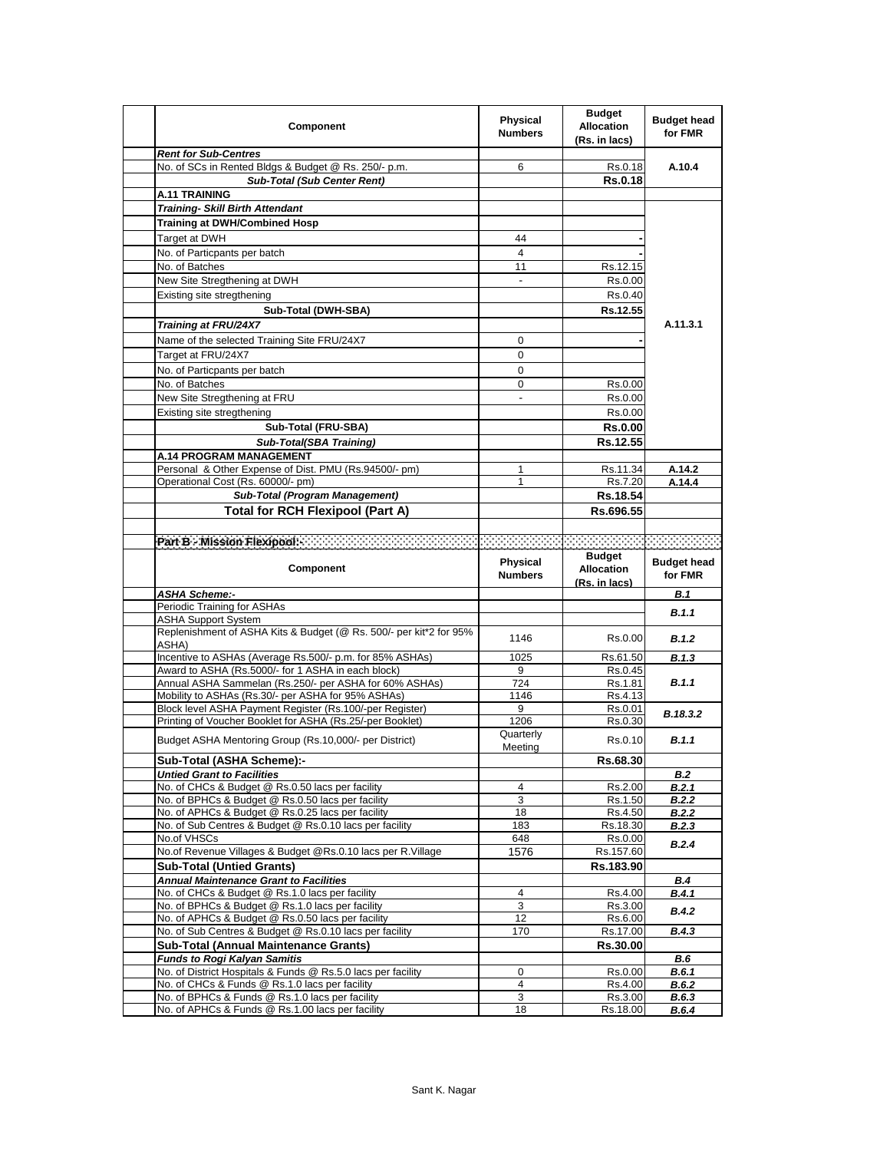| Component                                                                                                             | Physical<br><b>Numbers</b> | <b>Budget</b><br><b>Allocation</b><br>(Rs. in lacs) | <b>Budget head</b><br>for FMR |
|-----------------------------------------------------------------------------------------------------------------------|----------------------------|-----------------------------------------------------|-------------------------------|
| <b>Rent for Sub-Centres</b>                                                                                           |                            |                                                     |                               |
| No. of SCs in Rented Bldgs & Budget @ Rs. 250/- p.m.                                                                  | 6                          | Rs.0.18                                             | A.10.4                        |
| <b>Sub-Total (Sub Center Rent)</b>                                                                                    |                            | <b>Rs.0.18</b>                                      |                               |
| <b>A.11 TRAINING</b>                                                                                                  |                            |                                                     |                               |
| <b>Training- Skill Birth Attendant</b>                                                                                |                            |                                                     |                               |
| <b>Training at DWH/Combined Hosp</b>                                                                                  |                            |                                                     |                               |
| Target at DWH                                                                                                         | 44                         |                                                     |                               |
| No. of Particpants per batch                                                                                          | 4                          |                                                     |                               |
| No. of Batches                                                                                                        | 11                         | Rs.12.15                                            |                               |
| New Site Stregthening at DWH                                                                                          |                            | Rs.0.00                                             |                               |
| Existing site stregthening                                                                                            |                            | Rs.0.40                                             |                               |
| Sub-Total (DWH-SBA)                                                                                                   |                            | Rs.12.55                                            |                               |
| Training at FRU/24X7                                                                                                  |                            |                                                     | A.11.3.1                      |
| Name of the selected Training Site FRU/24X7                                                                           | 0                          |                                                     |                               |
| Target at FRU/24X7                                                                                                    | 0                          |                                                     |                               |
| No. of Particpants per batch                                                                                          | $\Omega$                   |                                                     |                               |
| No. of Batches                                                                                                        | 0                          | Rs.0.00                                             |                               |
| New Site Stregthening at FRU                                                                                          |                            | Rs 0.00                                             |                               |
| Existing site stregthening                                                                                            |                            | Rs.0.00                                             |                               |
| Sub-Total (FRU-SBA)                                                                                                   |                            | <b>Rs.0.00</b>                                      |                               |
| <b>Sub-Total(SBA Training)</b>                                                                                        |                            | Rs.12.55                                            |                               |
| <b>A.14 PROGRAM MANAGEMENT</b>                                                                                        |                            |                                                     |                               |
| Personal & Other Expense of Dist. PMU (Rs.94500/- pm)                                                                 | 1                          | Rs.11.34                                            | A.14.2                        |
| Operational Cost (Rs. 60000/- pm)                                                                                     | 1                          | Rs.7.20                                             | A.14.4                        |
| Sub-Total (Program Management)                                                                                        |                            | Rs.18.54                                            |                               |
| <b>Total for RCH Flexipool (Part A)</b>                                                                               |                            | Rs.696.55                                           |                               |
|                                                                                                                       |                            |                                                     |                               |
|                                                                                                                       |                            |                                                     |                               |
| Part B - Mission Flexipool:                                                                                           |                            | <b>Budget</b>                                       |                               |
| Component                                                                                                             | <b>Physical</b>            | <b>Allocation</b>                                   | <b>Budget head</b>            |
|                                                                                                                       | <b>Numbers</b>             |                                                     | for FMR                       |
| <b>ASHA Scheme:-</b>                                                                                                  |                            | (Rs. in lacs)                                       | B.1                           |
| Periodic Training for ASHAs                                                                                           |                            |                                                     |                               |
| ASHA Support System                                                                                                   |                            |                                                     | B.1.1                         |
| Replenishment of ASHA Kits & Budget (@ Rs. 500/- per kit*2 for 95%                                                    | 1146                       | Rs.0.00                                             | B.1.2                         |
| ASHA)                                                                                                                 |                            |                                                     |                               |
| Incentive to ASHAs (Average Rs.500/- p.m. for 85% ASHAs)                                                              | 1025                       | Rs.61.50                                            | B.1.3                         |
| Award to ASHA (Rs.5000/- for 1 ASHA in each block)                                                                    | 9                          | Rs.0.45                                             |                               |
| Annual ASHA Sammelan (Rs.250/- per ASHA for 60% ASHAs)                                                                | 724                        | Rs.1.81                                             | B.1.1                         |
| Mobility to ASHAs (Rs.30/- per ASHA for 95% ASHAs)                                                                    | 1146<br>9                  | Rs.4.13<br>Rs.0.01                                  |                               |
| Block level ASHA Payment Register (Rs.100/-per Register)<br>Printing of Voucher Booklet for ASHA (Rs.25/-per Booklet) | 1206                       | Rs.0.30                                             | B.18.3.2                      |
|                                                                                                                       | Quarterly                  |                                                     |                               |
| Budget ASHA Mentoring Group (Rs.10,000/- per District)                                                                | Meeting                    | Rs.0.10                                             | <b>B.1.1</b>                  |
| Sub-Total (ASHA Scheme):-                                                                                             |                            | Rs.68.30                                            |                               |
| <b>Untied Grant to Facilities</b>                                                                                     |                            |                                                     | <b>B.2</b>                    |
| No. of CHCs & Budget @ Rs.0.50 lacs per facility                                                                      | 4                          | Rs.2.00                                             | <b>B.2.1</b>                  |
| No. of BPHCs & Budget @ Rs.0.50 lacs per facility                                                                     | 3                          | Rs.1.50                                             | B.2.2                         |
| No. of APHCs & Budget @ Rs.0.25 lacs per facility                                                                     | 18                         | Rs.4.50                                             | B.2.2                         |
| No. of Sub Centres & Budget @ Rs.0.10 lacs per facility                                                               | 183                        | Rs.18.30                                            | B.2.3                         |
| No.of VHSCs                                                                                                           | 648                        | Rs.0.00                                             | B.2.4                         |
| No.of Revenue Villages & Budget @Rs.0.10 lacs per R.Village                                                           | 1576                       | Rs.157.60                                           |                               |
| <b>Sub-Total (Untied Grants)</b>                                                                                      |                            | Rs.183.90                                           |                               |
| <b>Annual Maintenance Grant to Facilities</b>                                                                         | $\overline{4}$             | Rs.4.00                                             | <b>B.4</b>                    |
| No. of CHCs & Budget @ Rs.1.0 lacs per facility<br>No. of BPHCs & Budget @ Rs.1.0 lacs per facility                   | 3                          |                                                     | B.4.1                         |
| No. of APHCs & Budget @ Rs.0.50 lacs per facility                                                                     | 12                         | Rs.3.00<br>Rs.6.00                                  | B.4.2                         |
| No. of Sub Centres & Budget @ Rs.0.10 lacs per facility                                                               | 170                        | Rs.17.00                                            | <b>B.4.3</b>                  |
| <b>Sub-Total (Annual Maintenance Grants)</b>                                                                          |                            | Rs.30.00                                            |                               |
| <b>Funds to Rogi Kalyan Samitis</b>                                                                                   |                            |                                                     | B.6                           |
| No. of District Hospitals & Funds @ Rs.5.0 lacs per facility                                                          | $\mathbf{0}$               | Rs.0.00                                             | B.6.1                         |
| No. of CHCs & Funds @ Rs.1.0 lacs per facility                                                                        | 4                          | Rs.4.00                                             | B.6.2                         |
| No. of BPHCs & Funds @ Rs.1.0 lacs per facility<br>No. of APHCs & Funds @ Rs.1.00 lacs per facility                   | 3<br>18                    | Rs.3.00<br>Rs.18.00                                 | <b>B.6.3</b><br>B.6.4         |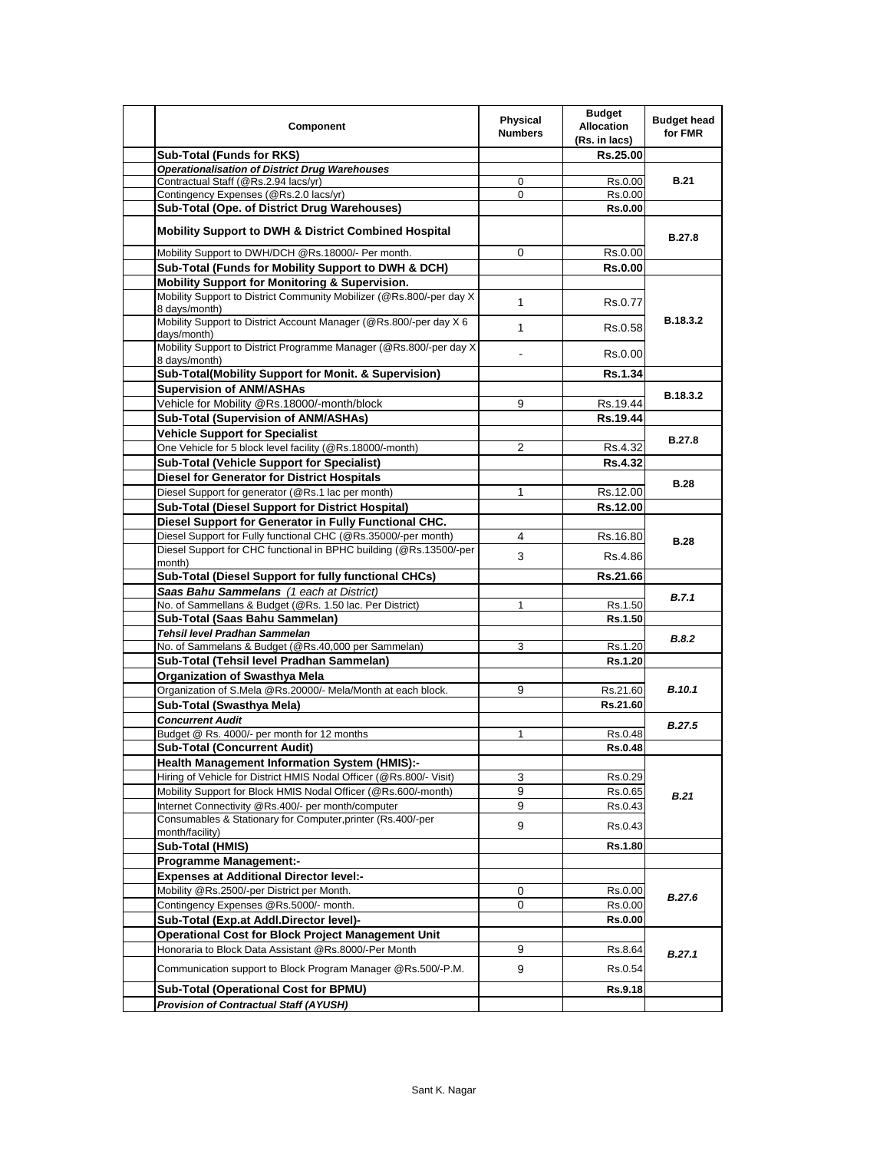| Component                                                                             | Physical<br><b>Numbers</b> | <b>Budget</b><br><b>Allocation</b><br>(Rs. in lacs) | <b>Budget head</b><br>for FMR |
|---------------------------------------------------------------------------------------|----------------------------|-----------------------------------------------------|-------------------------------|
| <b>Sub-Total (Funds for RKS)</b>                                                      |                            | Rs.25.00                                            |                               |
| <b>Operationalisation of District Drug Warehouses</b>                                 |                            |                                                     |                               |
| Contractual Staff (@Rs.2.94 lacs/yr)                                                  | 0                          | Rs.0.00                                             | <b>B.21</b>                   |
| Contingency Expenses (@Rs.2.0 lacs/yr)                                                | 0                          | Rs.0.00                                             |                               |
| Sub-Total (Ope. of District Drug Warehouses)                                          |                            | <b>Rs.0.00</b>                                      |                               |
| <b>Mobility Support to DWH &amp; District Combined Hospital</b>                       |                            |                                                     | <b>B.27.8</b>                 |
| Mobility Support to DWH/DCH @Rs.18000/- Per month.                                    | 0                          | Rs.0.00                                             |                               |
| Sub-Total (Funds for Mobility Support to DWH & DCH)                                   |                            | <b>Rs.0.00</b>                                      |                               |
| Mobility Support for Monitoring & Supervision.                                        |                            |                                                     |                               |
| Mobility Support to District Community Mobilizer (@Rs.800/-per day X<br>8 days/month) | $\mathbf{1}$               | Rs.0.77                                             |                               |
| Mobility Support to District Account Manager (@Rs.800/-per day X 6<br>days/month)     | $\mathbf 1$                | Rs.0.58                                             | B.18.3.2                      |
| Mobility Support to District Programme Manager (@Rs.800/-per day X)<br>8 days/month)  |                            | Rs.0.00                                             |                               |
| Sub-Total(Mobility Support for Monit. & Supervision)                                  |                            | <b>Rs.1.34</b>                                      |                               |
| <b>Supervision of ANM/ASHAs</b>                                                       |                            |                                                     |                               |
| Vehicle for Mobility @Rs.18000/-month/block                                           | 9                          | Rs.19.44                                            | B.18.3.2                      |
| Sub-Total (Supervision of ANM/ASHAs)                                                  |                            | Rs.19.44                                            |                               |
| <b>Vehicle Support for Specialist</b>                                                 |                            |                                                     |                               |
| One Vehicle for 5 block level facility (@Rs.18000/-month)                             | $\overline{2}$             | Rs.4.32                                             | B.27.8                        |
| <b>Sub-Total (Vehicle Support for Specialist)</b>                                     |                            | <b>Rs.4.32</b>                                      |                               |
| <b>Diesel for Generator for District Hospitals</b>                                    |                            |                                                     |                               |
| Diesel Support for generator (@Rs.1 lac per month)                                    | 1                          | Rs.12.00                                            | <b>B.28</b>                   |
| Sub-Total (Diesel Support for District Hospital)                                      |                            | Rs.12.00                                            |                               |
| Diesel Support for Generator in Fully Functional CHC.                                 |                            |                                                     | <b>B.28</b>                   |
| Diesel Support for Fully functional CHC (@Rs.35000/-per month)                        | 4                          | Rs.16.80                                            |                               |
| Diesel Support for CHC functional in BPHC building (@Rs.13500/-per<br>month)          | 3                          | Rs.4.86                                             |                               |
| Sub-Total (Diesel Support for fully functional CHCs)                                  |                            | Rs.21.66                                            |                               |
| Saas Bahu Sammelans (1 each at District)                                              |                            |                                                     |                               |
| No. of Sammellans & Budget (@Rs. 1.50 lac. Per District)                              | 1                          | Rs.1.50                                             | B.7.1                         |
| Sub-Total (Saas Bahu Sammelan)                                                        |                            | Rs.1.50                                             |                               |
| Tehsil level Pradhan Sammelan                                                         |                            |                                                     |                               |
| No. of Sammelans & Budget (@Rs.40,000 per Sammelan)                                   | 3                          | Rs.1.20                                             | <b>B.8.2</b>                  |
| Sub-Total (Tehsil level Pradhan Sammelan)                                             |                            | Rs.1.20                                             |                               |
| <b>Organization of Swasthya Mela</b>                                                  |                            |                                                     |                               |
| Organization of S.Mela @Rs.20000/- Mela/Month at each block.                          | 9                          | Rs.21.60                                            | <b>B.10.1</b>                 |
| Sub-Total (Swasthya Mela)                                                             |                            | Rs.21.60                                            |                               |
| <b>Concurrent Audit</b>                                                               |                            |                                                     | <b>B.27.5</b>                 |
| Budget @ Rs. 4000/- per month for 12 months                                           | 1                          | Rs.0.48                                             |                               |
| <b>Sub-Total (Concurrent Audit)</b>                                                   |                            | <b>Rs.0.48</b>                                      |                               |
| Health Management Information System (HMIS):-                                         |                            |                                                     |                               |
| Hiring of Vehicle for District HMIS Nodal Officer (@Rs.800/- Visit)                   | 3                          | Rs.0.29                                             |                               |
| Mobility Support for Block HMIS Nodal Officer (@Rs.600/-month)                        | 9                          | Rs.0.65                                             | B.21                          |
| Internet Connectivity @Rs.400/- per month/computer                                    | 9                          | Rs.0.43                                             |                               |
| Consumables & Stationary for Computer, printer (Rs.400/-per                           | 9                          | Rs.0.43                                             |                               |
| month/facility)                                                                       |                            |                                                     |                               |
| Sub-Total (HMIS)                                                                      |                            | <b>Rs.1.80</b>                                      |                               |
| <b>Programme Management:-</b>                                                         |                            |                                                     |                               |
| <b>Expenses at Additional Director level:-</b>                                        |                            |                                                     |                               |
| Mobility @Rs.2500/-per District per Month.                                            | 0                          | Rs.0.00                                             | B.27.6                        |
| Contingency Expenses @Rs.5000/- month.                                                | 0                          | Rs.0.00                                             |                               |
| Sub-Total (Exp.at Addl.Director level)-                                               |                            | <b>Rs.0.00</b>                                      |                               |
| <b>Operational Cost for Block Project Management Unit</b>                             |                            |                                                     |                               |
| Honoraria to Block Data Assistant @Rs.8000/-Per Month                                 | 9                          | Rs.8.64                                             | B.27.1                        |
| Communication support to Block Program Manager @Rs.500/-P.M.                          | 9                          | Rs.0.54                                             |                               |
| Sub-Total (Operational Cost for BPMU)                                                 |                            | Rs.9.18                                             |                               |
| Provision of Contractual Staff (AYUSH)                                                |                            |                                                     |                               |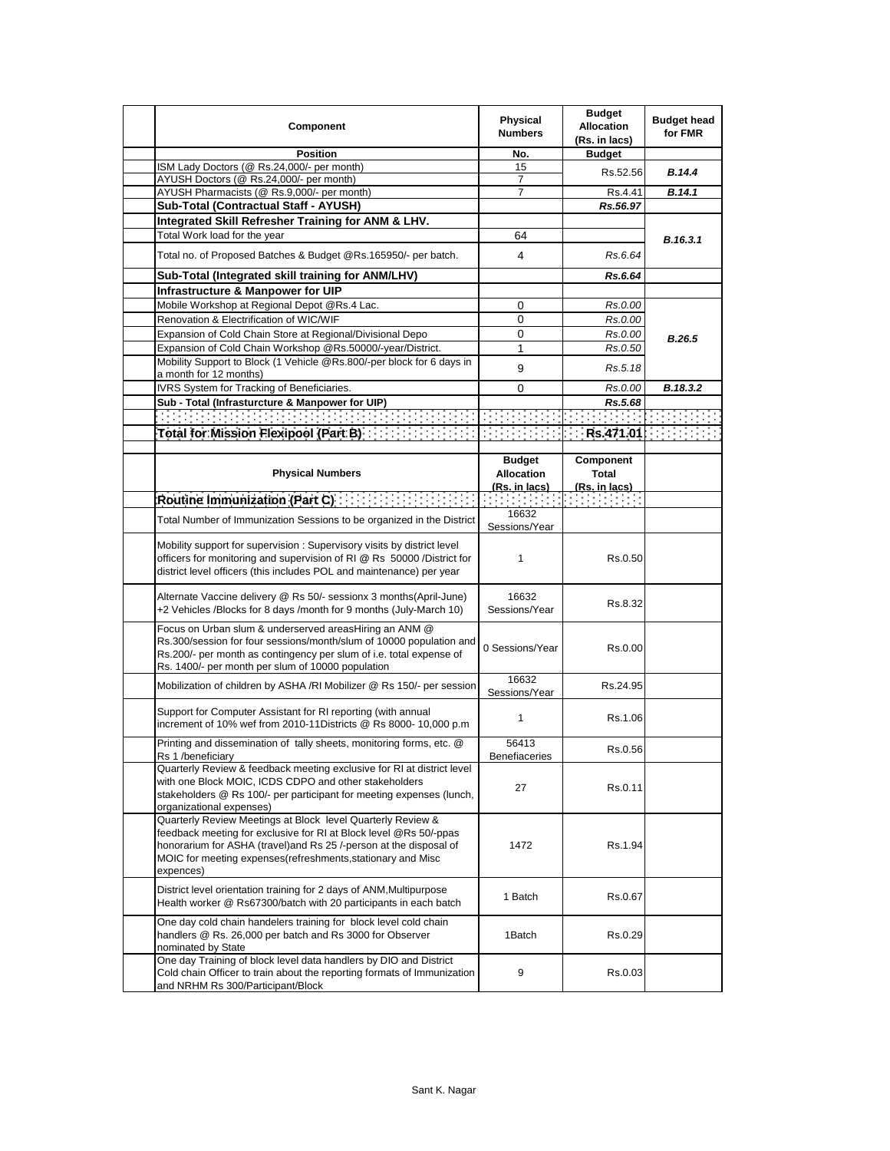| Component                                                                                                                                                                                                                                                                         | <b>Physical</b><br><b>Numbers</b>                          | <b>Budget</b><br><b>Allocation</b><br>(Rs. in lacs) | <b>Budget head</b><br>for FMR |
|-----------------------------------------------------------------------------------------------------------------------------------------------------------------------------------------------------------------------------------------------------------------------------------|------------------------------------------------------------|-----------------------------------------------------|-------------------------------|
| <b>Position</b>                                                                                                                                                                                                                                                                   | No.                                                        | <b>Budget</b>                                       |                               |
| ISM Lady Doctors (@ Rs.24,000/- per month)<br>AYUSH Doctors (@ Rs.24,000/- per month)                                                                                                                                                                                             | 15<br>7                                                    | Rs.52.56                                            | <b>B.14.4</b>                 |
| AYUSH Pharmacists (@ Rs.9,000/- per month)                                                                                                                                                                                                                                        | 7                                                          | Rs.4.41                                             | B.14.1                        |
| Sub-Total (Contractual Staff - AYUSH)                                                                                                                                                                                                                                             |                                                            | Rs.56.97                                            |                               |
| Integrated Skill Refresher Training for ANM & LHV.                                                                                                                                                                                                                                |                                                            |                                                     |                               |
| Total Work load for the year                                                                                                                                                                                                                                                      | 64                                                         |                                                     |                               |
| Total no. of Proposed Batches & Budget @Rs.165950/- per batch.                                                                                                                                                                                                                    | 4                                                          | Rs.6.64                                             | B.16.3.1                      |
| Sub-Total (Integrated skill training for ANM/LHV)                                                                                                                                                                                                                                 |                                                            | Rs.6.64                                             |                               |
| Infrastructure & Manpower for UIP                                                                                                                                                                                                                                                 |                                                            |                                                     |                               |
| Mobile Workshop at Regional Depot @Rs.4 Lac.                                                                                                                                                                                                                                      | 0                                                          | Rs.0.00                                             |                               |
| Renovation & Electrification of WIC/WIF                                                                                                                                                                                                                                           | 0                                                          | Rs.0.00                                             |                               |
| Expansion of Cold Chain Store at Regional/Divisional Depo                                                                                                                                                                                                                         | 0                                                          | Rs.0.00                                             |                               |
| Expansion of Cold Chain Workshop @Rs.50000/-year/District.                                                                                                                                                                                                                        | 1                                                          | Rs.0.50                                             | <b>B.26.5</b>                 |
| Mobility Support to Block (1 Vehicle @Rs.800/-per block for 6 days in                                                                                                                                                                                                             |                                                            |                                                     |                               |
| a month for 12 months)                                                                                                                                                                                                                                                            | 9                                                          | Rs.5.18                                             |                               |
| IVRS System for Tracking of Beneficiaries.                                                                                                                                                                                                                                        | 0                                                          | Rs.0.00                                             | B.18.3.2                      |
| Sub - Total (Infrasturcture & Manpower for UIP)                                                                                                                                                                                                                                   |                                                            | Rs.5.68                                             |                               |
| 191919191919191919191919191919191                                                                                                                                                                                                                                                 |                                                            |                                                     |                               |
|                                                                                                                                                                                                                                                                                   |                                                            |                                                     |                               |
|                                                                                                                                                                                                                                                                                   |                                                            |                                                     |                               |
| <b>Physical Numbers</b>                                                                                                                                                                                                                                                           | <b>Budget</b><br><b>Allocation</b><br><u>(Rs. in lacs)</u> | Component<br>Total<br><u>(Rs. in lacs)</u>          |                               |
|                                                                                                                                                                                                                                                                                   |                                                            |                                                     |                               |
| Total Number of Immunization Sessions to be organized in the District                                                                                                                                                                                                             | 16632<br>Sessions/Year                                     |                                                     |                               |
| Mobility support for supervision: Supervisory visits by district level<br>officers for monitoring and supervision of RI @ Rs 50000 /District for<br>district level officers (this includes POL and maintenance) per year                                                          | $\mathbf{1}$                                               | Rs.0.50                                             |                               |
| Alternate Vaccine delivery @ Rs 50/- sessionx 3 months(April-June)<br>+2 Vehicles /Blocks for 8 days /month for 9 months (July-March 10)                                                                                                                                          | 16632<br>Sessions/Year                                     | Rs.8.32                                             |                               |
| Focus on Urban slum & underserved areasHiring an ANM @<br>Rs.300/session for four sessions/month/slum of 10000 population and<br>Rs.200/- per month as contingency per slum of i.e. total expense of<br>Rs. 1400/- per month per slum of 10000 population                         | 0 Sessions/Year                                            | Rs.0.00                                             |                               |
| Mobilization of children by ASHA /RI Mobilizer @ Rs 150/- per session                                                                                                                                                                                                             | 16632<br>Sessions/Year                                     | Rs.24.95                                            |                               |
| Support for Computer Assistant for RI reporting (with annual<br>increment of 10% wef from 2010-11Districts @ Rs 8000- 10,000 p.m                                                                                                                                                  | $\mathbf{1}$                                               | Rs.1.06                                             |                               |
| Printing and dissemination of tally sheets, monitoring forms, etc. @<br>Rs 1 /beneficiary                                                                                                                                                                                         | 56413<br>Benefiaceries                                     | Rs.0.56                                             |                               |
| Quarterly Review & feedback meeting exclusive for RI at district level<br>with one Block MOIC, ICDS CDPO and other stakeholders<br>stakeholders @ Rs 100/- per participant for meeting expenses (lunch,<br>organizational expenses)                                               | 27                                                         | Rs.0.11                                             |                               |
| Quarterly Review Meetings at Block level Quarterly Review &<br>feedback meeting for exclusive for RI at Block level @Rs 50/-ppas<br>honorarium for ASHA (travel)and Rs 25 /-person at the disposal of<br>MOIC for meeting expenses(refreshments, stationary and Misc<br>expences) | 1472                                                       | Rs 1.94                                             |                               |
| District level orientation training for 2 days of ANM, Multipurpose<br>Health worker @ Rs67300/batch with 20 participants in each batch                                                                                                                                           | 1 Batch                                                    | Rs.0.67                                             |                               |
| One day cold chain handelers training for block level cold chain<br>handlers @ Rs. 26,000 per batch and Rs 3000 for Observer<br>nominated by State                                                                                                                                | 1Batch                                                     | Rs.0.29                                             |                               |
| One day Training of block level data handlers by DIO and District<br>Cold chain Officer to train about the reporting formats of Immunization<br>and NRHM Rs 300/Participant/Block                                                                                                 | 9                                                          | Rs.0.03                                             |                               |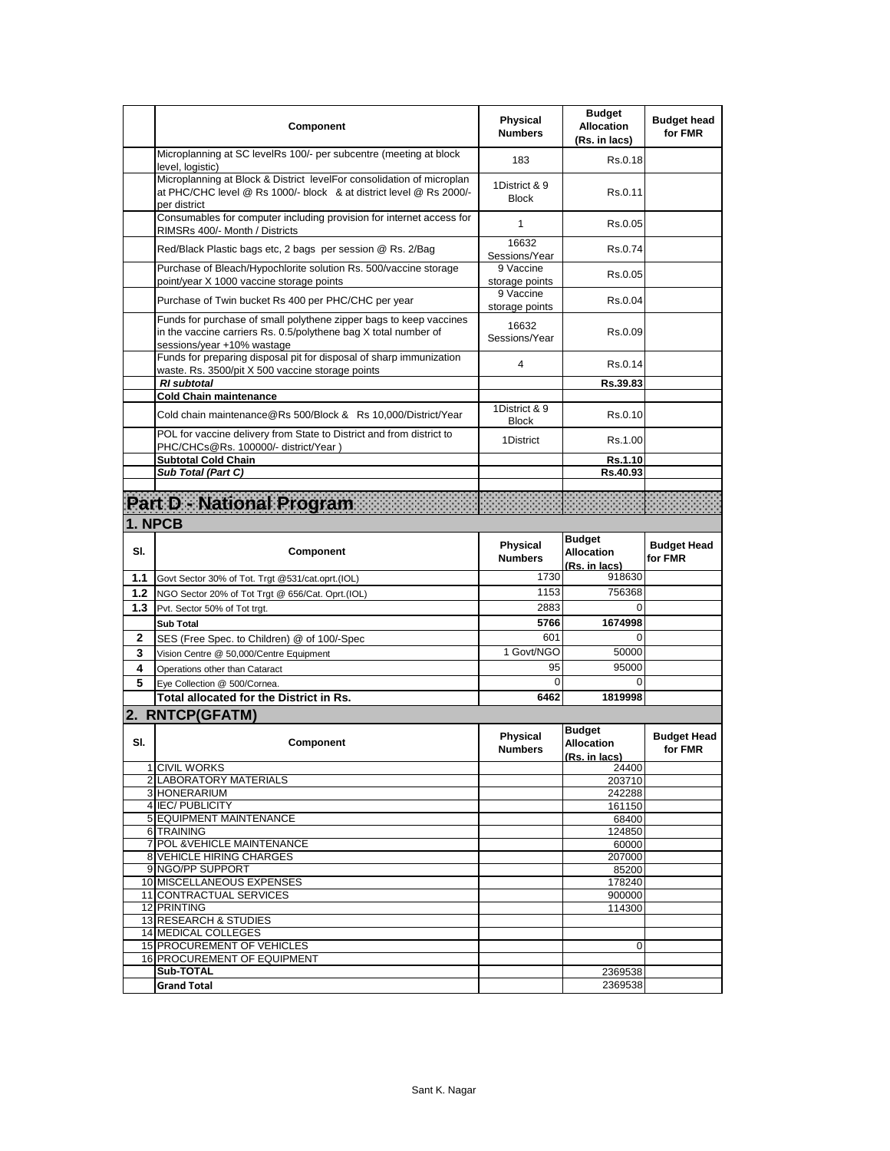|     | Component                                                                                                                                                           | <b>Physical</b><br><b>Numbers</b> | <b>Budget</b><br><b>Allocation</b><br>(Rs. in lacs) | <b>Budget head</b><br>for FMR |
|-----|---------------------------------------------------------------------------------------------------------------------------------------------------------------------|-----------------------------------|-----------------------------------------------------|-------------------------------|
|     | Microplanning at SC levelRs 100/- per subcentre (meeting at block<br>level, logistic)                                                                               | 183                               | Rs.0.18                                             |                               |
|     | Microplanning at Block & District levelFor consolidation of microplan<br>at PHC/CHC level @ Rs 1000/- block & at district level @ Rs 2000/-<br>per district         | 1District & 9<br><b>Block</b>     | Rs.0.11                                             |                               |
|     | Consumables for computer including provision for internet access for<br>RIMSRs 400/- Month / Districts                                                              | $\mathbf{1}$                      | Rs.0.05                                             |                               |
|     | Red/Black Plastic bags etc, 2 bags per session @ Rs. 2/Bag                                                                                                          | 16632<br>Sessions/Year            | Rs.0.74                                             |                               |
|     | Purchase of Bleach/Hypochlorite solution Rs. 500/vaccine storage<br>point/year X 1000 vaccine storage points                                                        | 9 Vaccine<br>storage points       | Rs 0.05                                             |                               |
|     | Purchase of Twin bucket Rs 400 per PHC/CHC per year                                                                                                                 | 9 Vaccine<br>storage points       | Rs 0.04                                             |                               |
|     | Funds for purchase of small polythene zipper bags to keep vaccines<br>in the vaccine carriers Rs. 0.5/polythene bag X total number of<br>sessions/year +10% wastage | 16632<br>Sessions/Year            | Rs.0.09                                             |                               |
|     | Funds for preparing disposal pit for disposal of sharp immunization<br>waste. Rs. 3500/pit X 500 vaccine storage points                                             | 4                                 | Rs 0.14                                             |                               |
|     | <b>RI</b> subtotal                                                                                                                                                  |                                   | Rs.39.83                                            |                               |
|     | <b>Cold Chain maintenance</b><br>Cold chain maintenance@Rs 500/Block & Rs 10,000/District/Year                                                                      | 1District & 9<br><b>Block</b>     | Rs.0.10                                             |                               |
|     | POL for vaccine delivery from State to District and from district to<br>PHC/CHCs@Rs. 100000/- district/Year)                                                        | 1District                         | Rs 1.00                                             |                               |
|     | <b>Subtotal Cold Chain</b>                                                                                                                                          |                                   | Rs.1.10                                             |                               |
|     | Sub Total (Part C)                                                                                                                                                  |                                   | Rs.40.93                                            |                               |
|     | Part D - National Program                                                                                                                                           |                                   |                                                     |                               |
|     | 1. NPCB                                                                                                                                                             |                                   |                                                     |                               |
| SI. | Component                                                                                                                                                           | <b>Physical</b><br><b>Numbers</b> | <b>Budget</b><br><b>Allocation</b><br>(Rs. in lacs) | <b>Budget Head</b><br>for FMR |
| 1.1 | Govt Sector 30% of Tot. Trgt @531/cat.oprt.(IOL)                                                                                                                    | 1730                              | 918630                                              |                               |
| 1.2 | NGO Sector 20% of Tot Trgt @ 656/Cat. Oprt.(IOL)                                                                                                                    | 1153                              | 756368                                              |                               |
| 1.3 | Pvt. Sector 50% of Tot trgt.                                                                                                                                        | 2883                              | $\Omega$                                            |                               |
|     | <b>Sub Total</b>                                                                                                                                                    | 5766                              | 1674998                                             |                               |
| 2   | SES (Free Spec. to Children) @ of 100/-Spec                                                                                                                         | 601                               | $\Omega$                                            |                               |
| 3   | Vision Centre @ 50,000/Centre Equipment                                                                                                                             | 1 Govt/NGO                        | 50000                                               |                               |
| 4   | Operations other than Cataract                                                                                                                                      | 95                                | 95000                                               |                               |
| 5   | Eye Collection @ 500/Cornea.                                                                                                                                        | 0                                 | $\Omega$                                            |                               |
|     | Total allocated for the District in Rs.                                                                                                                             | 6462                              | 1819998                                             |                               |
|     | 2. RNTCP(GFATM)                                                                                                                                                     |                                   |                                                     |                               |
| SI. | Component                                                                                                                                                           | <b>Physical</b><br><b>Numbers</b> | <b>Budget</b><br><b>Allocation</b><br>(Rs. in lacs) | <b>Budget Head</b><br>for FMR |
|     | <b>1 CIVIL WORKS</b>                                                                                                                                                |                                   | 24400                                               |                               |
|     | 2 LABORATORY MATERIALS<br>3 HONERARIUM                                                                                                                              |                                   | 203710<br>242288                                    |                               |
|     | 4 IEC/ PUBLICITY                                                                                                                                                    |                                   | 161150                                              |                               |
|     | <b>5 EQUIPMENT MAINTENANCE</b>                                                                                                                                      |                                   | 68400                                               |                               |
|     | 6 TRAINING                                                                                                                                                          |                                   | 124850                                              |                               |
|     | 7 POL & VEHICLE MAINTENANCE                                                                                                                                         |                                   | 60000                                               |                               |
|     | <b>8 VEHICLE HIRING CHARGES</b><br>9 NGO/PP SUPPORT                                                                                                                 |                                   | 207000<br>85200                                     |                               |
|     | 10 MISCELLANEOUS EXPENSES                                                                                                                                           |                                   | 178240                                              |                               |
|     | 11 CONTRACTUAL SERVICES                                                                                                                                             |                                   | 900000                                              |                               |
|     | 12 PRINTING                                                                                                                                                         |                                   | 114300                                              |                               |
|     | 13 RESEARCH & STUDIES<br>14 MEDICAL COLLEGES                                                                                                                        |                                   |                                                     |                               |
|     | 15 PROCUREMENT OF VEHICLES                                                                                                                                          |                                   | $\Omega$                                            |                               |
|     | 16 PROCUREMENT OF EQUIPMENT                                                                                                                                         |                                   |                                                     |                               |
|     | Sub-TOTAL                                                                                                                                                           |                                   | 2369538                                             |                               |
|     | <b>Grand Total</b>                                                                                                                                                  |                                   | 2369538                                             |                               |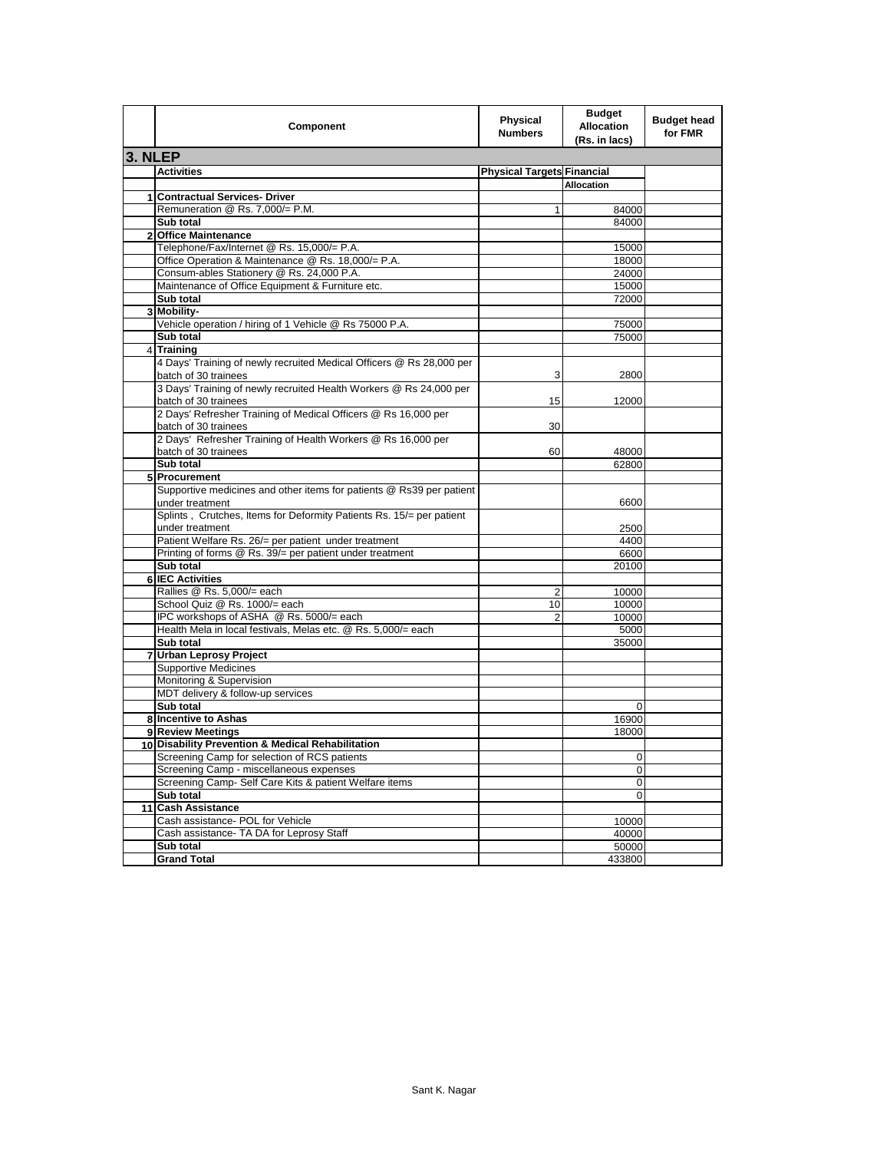|         | Component                                                                             | <b>Physical</b><br><b>Numbers</b> | <b>Budget</b><br>Allocation<br>(Rs. in lacs) | <b>Budget head</b><br>for FMR |
|---------|---------------------------------------------------------------------------------------|-----------------------------------|----------------------------------------------|-------------------------------|
| 3. NLEP |                                                                                       |                                   |                                              |                               |
|         | <b>Activities</b>                                                                     | <b>Physical Targets Financial</b> |                                              |                               |
|         |                                                                                       |                                   | <b>Allocation</b>                            |                               |
| 1       | <b>Contractual Services- Driver</b>                                                   |                                   |                                              |                               |
|         | Remuneration @ Rs. 7,000/= P.M.                                                       | $\mathbf{1}$                      | 84000                                        |                               |
|         | Sub total                                                                             |                                   | 84000                                        |                               |
|         | 2 Office Maintenance                                                                  |                                   |                                              |                               |
|         | Telephone/Fax/Internet @ Rs. 15,000/= P.A.                                            |                                   | 15000                                        |                               |
|         | Office Operation & Maintenance @ Rs. 18,000/= P.A.                                    |                                   | 18000                                        |                               |
|         | Consum-ables Stationery @ Rs. 24,000 P.A.                                             |                                   | 24000                                        |                               |
|         | Maintenance of Office Equipment & Furniture etc.                                      |                                   | 15000                                        |                               |
|         | Sub total                                                                             |                                   | 72000                                        |                               |
|         | 3 Mobility-                                                                           |                                   |                                              |                               |
|         | Vehicle operation / hiring of 1 Vehicle @ Rs 75000 P.A.                               |                                   | 75000                                        |                               |
|         | Sub total                                                                             |                                   | 75000                                        |                               |
|         | 4 Training                                                                            |                                   |                                              |                               |
|         | 4 Days' Training of newly recruited Medical Officers @ Rs 28,000 per                  |                                   |                                              |                               |
|         | batch of 30 trainees                                                                  | 3                                 | 2800                                         |                               |
|         | 3 Days' Training of newly recruited Health Workers @ Rs 24,000 per                    |                                   |                                              |                               |
|         | batch of 30 trainees                                                                  | 15                                | 12000                                        |                               |
|         | 2 Days' Refresher Training of Medical Officers @ Rs 16,000 per                        |                                   |                                              |                               |
|         | batch of 30 trainees                                                                  | 30                                |                                              |                               |
|         | 2 Days' Refresher Training of Health Workers @ Rs 16,000 per                          |                                   |                                              |                               |
|         | batch of 30 trainees                                                                  | 60                                | 48000                                        |                               |
|         | Sub total                                                                             |                                   | 62800                                        |                               |
|         | 5 Procurement<br>Supportive medicines and other items for patients @ Rs39 per patient |                                   |                                              |                               |
|         | under treatment                                                                       |                                   | 6600                                         |                               |
|         | Splints, Crutches, Items for Deformity Patients Rs. 15/= per patient                  |                                   |                                              |                               |
|         | under treatment                                                                       |                                   | 2500                                         |                               |
|         | Patient Welfare Rs. 26/= per patient under treatment                                  |                                   | 4400                                         |                               |
|         | Printing of forms @ Rs. 39/= per patient under treatment                              |                                   | 6600                                         |                               |
|         | Sub total                                                                             |                                   | 20100                                        |                               |
|         | <b>6 IEC Activities</b>                                                               |                                   |                                              |                               |
|         | Rallies @ Rs. 5,000/= each                                                            | 2                                 | 10000                                        |                               |
|         | School Quiz @ Rs. 1000/= each                                                         | 10                                | 10000                                        |                               |
|         | IPC workshops of ASHA @ Rs. 5000/= each                                               | 2                                 | 10000                                        |                               |
|         | Health Mela in local festivals, Melas etc. @ Rs. 5,000/= each                         |                                   | 5000                                         |                               |
|         | Sub total                                                                             |                                   | 35000                                        |                               |
| 7       | <b>Urban Leprosy Project</b>                                                          |                                   |                                              |                               |
|         | <b>Supportive Medicines</b>                                                           |                                   |                                              |                               |
|         | Monitoring & Supervision                                                              |                                   |                                              |                               |
|         | MDT delivery & follow-up services                                                     |                                   |                                              |                               |
|         | Sub total                                                                             |                                   | 0                                            |                               |
|         | 8 Incentive to Ashas                                                                  |                                   | 16900                                        |                               |
|         | 9 Review Meetings                                                                     |                                   | 18000                                        |                               |
|         | 10 Disability Prevention & Medical Rehabilitation                                     |                                   |                                              |                               |
|         | Screening Camp for selection of RCS patients                                          |                                   | 0                                            |                               |
|         | Screening Camp - miscellaneous expenses                                               |                                   | 0                                            |                               |
|         | Screening Camp- Self Care Kits & patient Welfare items                                |                                   | 0                                            |                               |
|         | Sub total                                                                             |                                   | 0                                            |                               |
| 11      | <b>Cash Assistance</b>                                                                |                                   |                                              |                               |
|         | Cash assistance- POL for Vehicle                                                      |                                   | 10000                                        |                               |
|         | Cash assistance- TA DA for Leprosy Staff                                              |                                   | 40000                                        |                               |
|         | Sub total                                                                             |                                   | 50000                                        |                               |
|         | <b>Grand Total</b>                                                                    |                                   | 433800                                       |                               |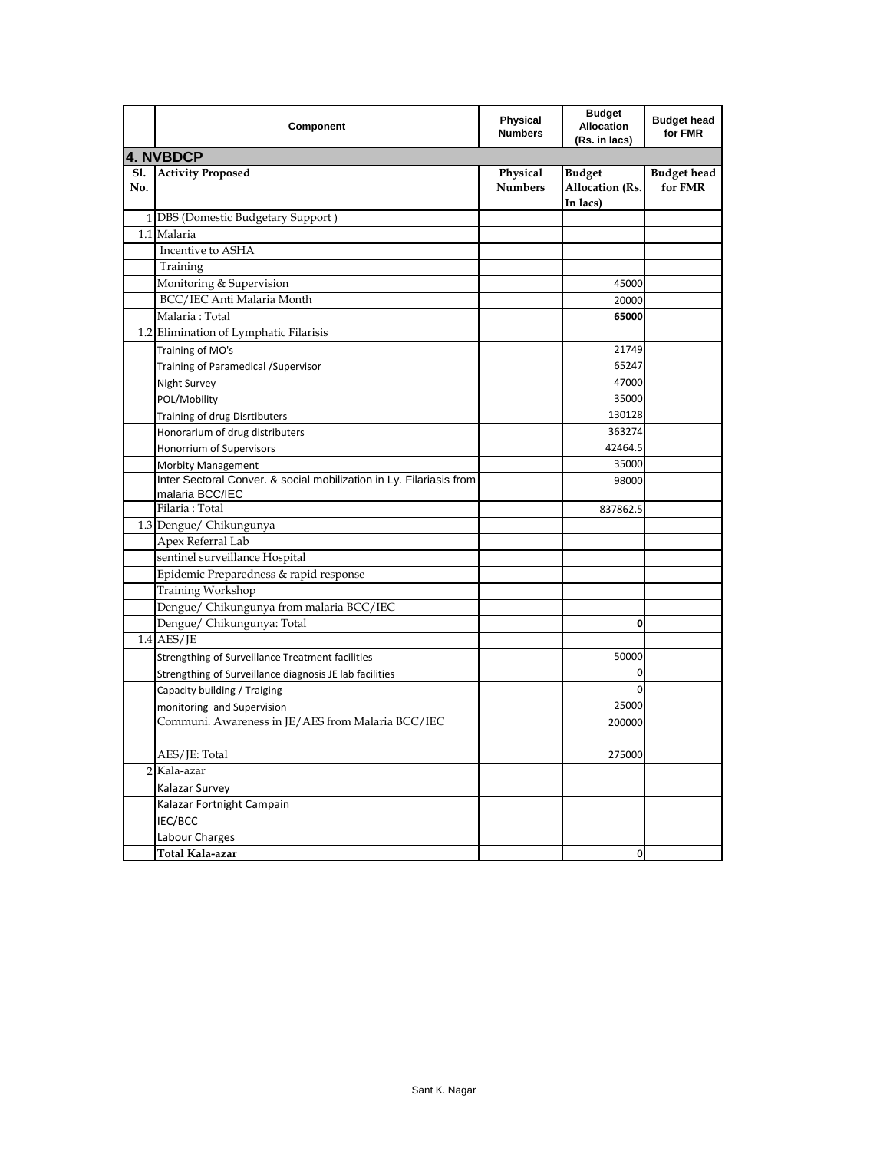|            | Component                                                                              | Physical<br><b>Numbers</b> | <b>Budget</b><br><b>Allocation</b><br>(Rs. in lacs) | <b>Budget head</b><br>for FMR |
|------------|----------------------------------------------------------------------------------------|----------------------------|-----------------------------------------------------|-------------------------------|
|            | <b>4. NVBDCP</b>                                                                       |                            |                                                     |                               |
| Sl.<br>No. | <b>Activity Proposed</b>                                                               | Physical<br><b>Numbers</b> | <b>Budget</b><br><b>Allocation (Rs.</b><br>In lacs) | <b>Budget head</b><br>for FMR |
|            | 1 DBS (Domestic Budgetary Support)                                                     |                            |                                                     |                               |
|            | 1.1 Malaria                                                                            |                            |                                                     |                               |
|            | Incentive to ASHA                                                                      |                            |                                                     |                               |
|            | Training                                                                               |                            |                                                     |                               |
|            | Monitoring & Supervision                                                               |                            | 45000                                               |                               |
|            | BCC/IEC Anti Malaria Month                                                             |                            | 20000                                               |                               |
|            | Malaria: Total                                                                         |                            | 65000                                               |                               |
|            | 1.2 Elimination of Lymphatic Filarisis                                                 |                            |                                                     |                               |
|            | Training of MO's                                                                       |                            | 21749                                               |                               |
|            | Training of Paramedical / Supervisor                                                   |                            | 65247                                               |                               |
|            | Night Survey                                                                           |                            | 47000                                               |                               |
|            | POL/Mobility                                                                           |                            | 35000                                               |                               |
|            | Training of drug Disrtibuters                                                          |                            | 130128                                              |                               |
|            | Honorarium of drug distributers                                                        |                            | 363274                                              |                               |
|            | Honorrium of Supervisors                                                               |                            | 42464.5                                             |                               |
|            | <b>Morbity Management</b>                                                              |                            | 35000                                               |                               |
|            | Inter Sectoral Conver. & social mobilization in Ly. Filariasis from<br>malaria BCC/IEC |                            | 98000                                               |                               |
|            | Filaria: Total                                                                         |                            | 837862.5                                            |                               |
|            | 1.3 Dengue/ Chikungunya                                                                |                            |                                                     |                               |
|            | Apex Referral Lab                                                                      |                            |                                                     |                               |
|            | sentinel surveillance Hospital                                                         |                            |                                                     |                               |
|            | Epidemic Preparedness & rapid response                                                 |                            |                                                     |                               |
|            | Training Workshop                                                                      |                            |                                                     |                               |
|            | Dengue/ Chikungunya from malaria BCC/IEC                                               |                            |                                                     |                               |
|            | Dengue/ Chikungunya: Total                                                             |                            | 0                                                   |                               |
|            | $1.4$ AES/JE                                                                           |                            |                                                     |                               |
|            | Strengthing of Surveillance Treatment facilities                                       |                            | 50000                                               |                               |
|            | Strengthing of Surveillance diagnosis JE lab facilities                                |                            | 0                                                   |                               |
|            | Capacity building / Traiging                                                           |                            | $\mathbf 0$                                         |                               |
|            | monitoring and Supervision                                                             |                            | 25000                                               |                               |
|            | Communi. Awareness in JE/AES from Malaria BCC/IEC                                      |                            | 200000                                              |                               |
|            | AES/JE: Total                                                                          |                            | 275000                                              |                               |
|            | 2 Kala-azar                                                                            |                            |                                                     |                               |
|            | Kalazar Survey                                                                         |                            |                                                     |                               |
|            | Kalazar Fortnight Campain                                                              |                            |                                                     |                               |
|            | IEC/BCC                                                                                |                            |                                                     |                               |
|            | Labour Charges                                                                         |                            |                                                     |                               |
|            | Total Kala-azar                                                                        |                            | 0                                                   |                               |